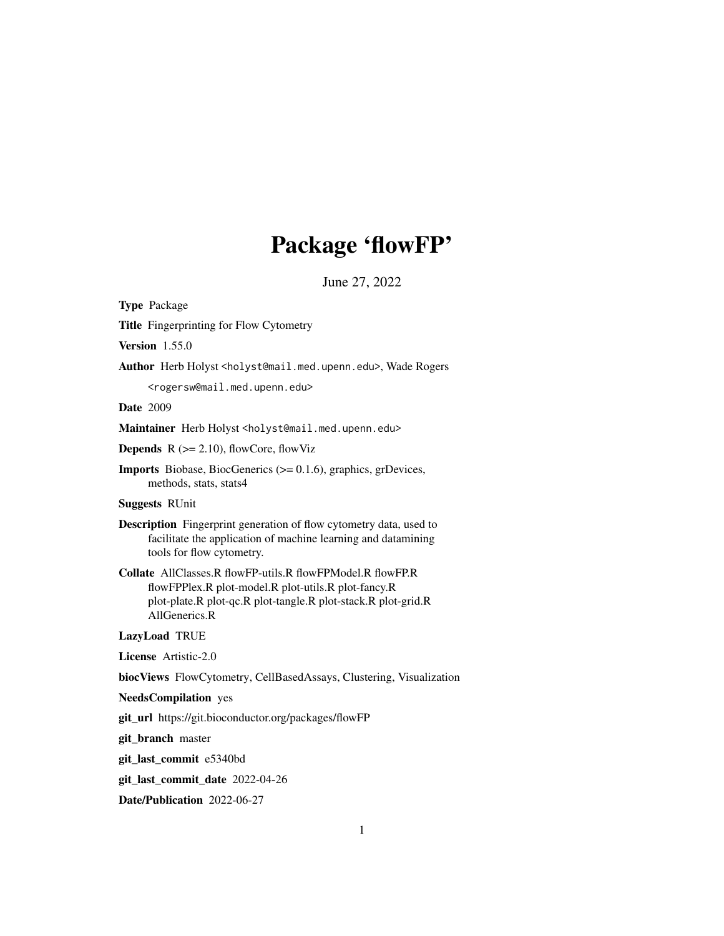# Package 'flowFP'

June 27, 2022

<span id="page-0-0"></span>Type Package

Title Fingerprinting for Flow Cytometry

Version 1.55.0

Author Herb Holyst <holyst@mail.med.upenn.edu>, Wade Rogers

<rogersw@mail.med.upenn.edu>

Date 2009

Maintainer Herb Holyst <holyst@mail.med.upenn.edu>

**Depends**  $R$  ( $>= 2.10$ ), flowCore, flowViz

Imports Biobase, BiocGenerics (>= 0.1.6), graphics, grDevices, methods, stats, stats4

# Suggests RUnit

Description Fingerprint generation of flow cytometry data, used to facilitate the application of machine learning and datamining tools for flow cytometry.

Collate AllClasses.R flowFP-utils.R flowFPModel.R flowFP.R flowFPPlex.R plot-model.R plot-utils.R plot-fancy.R plot-plate.R plot-qc.R plot-tangle.R plot-stack.R plot-grid.R AllGenerics.R

# LazyLoad TRUE

License Artistic-2.0

biocViews FlowCytometry, CellBasedAssays, Clustering, Visualization

#### NeedsCompilation yes

git\_url https://git.bioconductor.org/packages/flowFP

git\_branch master

git\_last\_commit e5340bd

git\_last\_commit\_date 2022-04-26

Date/Publication 2022-06-27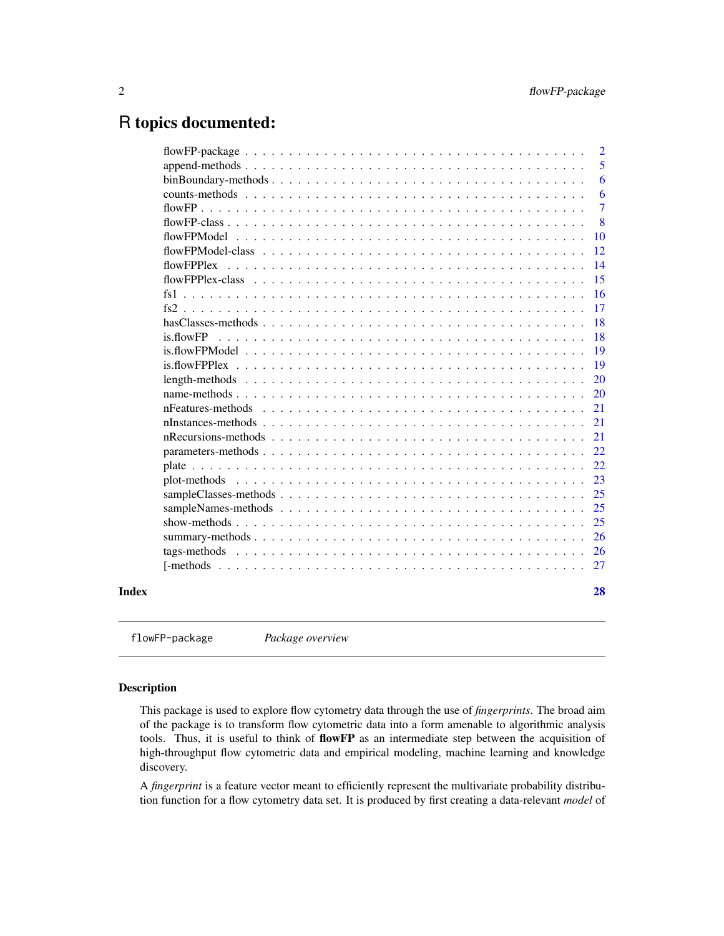# <span id="page-1-0"></span>R topics documented:

| $binBoundary-methods \dots \dots \dots \dots \dots \dots \dots \dots \dots \dots \dots \dots \dots \dots \dots \dots$<br>flowFPPlex<br>flowFPPlex-class<br>fs1<br>is.flowFP<br>Index |  | $\overline{2}$ |
|--------------------------------------------------------------------------------------------------------------------------------------------------------------------------------------|--|----------------|
|                                                                                                                                                                                      |  | 5              |
|                                                                                                                                                                                      |  | 6              |
|                                                                                                                                                                                      |  | 6              |
|                                                                                                                                                                                      |  | $\overline{7}$ |
|                                                                                                                                                                                      |  | 8              |
|                                                                                                                                                                                      |  | 10             |
|                                                                                                                                                                                      |  | 12             |
|                                                                                                                                                                                      |  | 14             |
|                                                                                                                                                                                      |  | 15             |
|                                                                                                                                                                                      |  | 16             |
|                                                                                                                                                                                      |  | 17             |
|                                                                                                                                                                                      |  | 18             |
|                                                                                                                                                                                      |  | 18             |
|                                                                                                                                                                                      |  | 19             |
|                                                                                                                                                                                      |  | 19             |
|                                                                                                                                                                                      |  | 20             |
|                                                                                                                                                                                      |  | 20             |
|                                                                                                                                                                                      |  | 21             |
|                                                                                                                                                                                      |  | 21             |
|                                                                                                                                                                                      |  | 21             |
|                                                                                                                                                                                      |  | 22             |
|                                                                                                                                                                                      |  | 22             |
|                                                                                                                                                                                      |  | 23             |
|                                                                                                                                                                                      |  | 25             |
|                                                                                                                                                                                      |  | 25             |
|                                                                                                                                                                                      |  | 25             |
|                                                                                                                                                                                      |  | 26             |
|                                                                                                                                                                                      |  | 26             |
|                                                                                                                                                                                      |  | 27             |
|                                                                                                                                                                                      |  |                |
|                                                                                                                                                                                      |  | 28             |

flowFP-package *Package overview*

# Description

This package is used to explore flow cytometry data through the use of *fingerprints*. The broad aim of the package is to transform flow cytometric data into a form amenable to algorithmic analysis tools. Thus, it is useful to think of flowFP as an intermediate step between the acquisition of high-throughput flow cytometric data and empirical modeling, machine learning and knowledge discovery.

A *fingerprint* is a feature vector meant to efficiently represent the multivariate probability distribution function for a flow cytometry data set. It is produced by first creating a data-relevant *model* of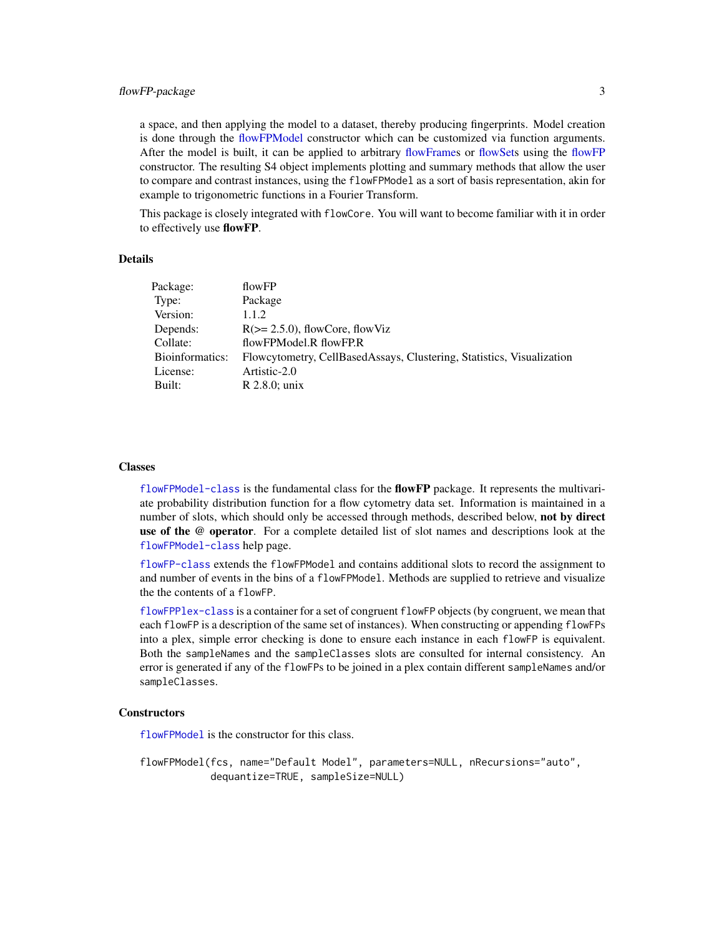<span id="page-2-0"></span>a space, and then applying the model to a dataset, thereby producing fingerprints. Model creation is done through the [flowFPModel](#page-9-1) constructor which can be customized via function arguments. After the model is built, it can be applied to arbitrary [flowFrames](#page-0-0) or [flowSets](#page-0-0) using the [flowFP](#page-6-1) constructor. The resulting S4 object implements plotting and summary methods that allow the user to compare and contrast instances, using the flowFPModel as a sort of basis representation, akin for example to trigonometric functions in a Fourier Transform.

This package is closely integrated with flowCore. You will want to become familiar with it in order to effectively use flowFP.

# Details

| Package:        | flowFP                                                                |
|-----------------|-----------------------------------------------------------------------|
| Type:           | Package                                                               |
| Version:        | 1.1.2                                                                 |
| Depends:        | $R \geq 2.5.0$ , flowCore, flowViz                                    |
| Collate:        | flowFPModel.R flowFP.R                                                |
| Bioinformatics: | Flowcytometry, CellBasedAssays, Clustering, Statistics, Visualization |
| License:        | Artistic-2.0                                                          |
| Built:          | $R$ 2.8.0; unix                                                       |
|                 |                                                                       |

#### Classes

 $f$ lowFPModel-class is the fundamental class for the  $f$ how $\bf FP$  package. It represents the multivariate probability distribution function for a flow cytometry data set. Information is maintained in a number of slots, which should only be accessed through methods, described below, not by direct use of the @ operator. For a complete detailed list of slot names and descriptions look at the [flowFPModel-class](#page-11-1) help page.

[flowFP-class](#page-7-1) extends the flowFPModel and contains additional slots to record the assignment to and number of events in the bins of a flowFPModel. Methods are supplied to retrieve and visualize the the contents of a flowFP.

[flowFPPlex-class](#page-14-1) is a container for a set of congruent flowFP objects (by congruent, we mean that each flowFP is a description of the same set of instances). When constructing or appending flowFPs into a plex, simple error checking is done to ensure each instance in each flowFP is equivalent. Both the sampleNames and the sampleClasses slots are consulted for internal consistency. An error is generated if any of the flowFPs to be joined in a plex contain different sampleNames and/or sampleClasses.

# **Constructors**

[flowFPModel](#page-9-1) is the constructor for this class.

flowFPModel(fcs, name="Default Model", parameters=NULL, nRecursions="auto", dequantize=TRUE, sampleSize=NULL)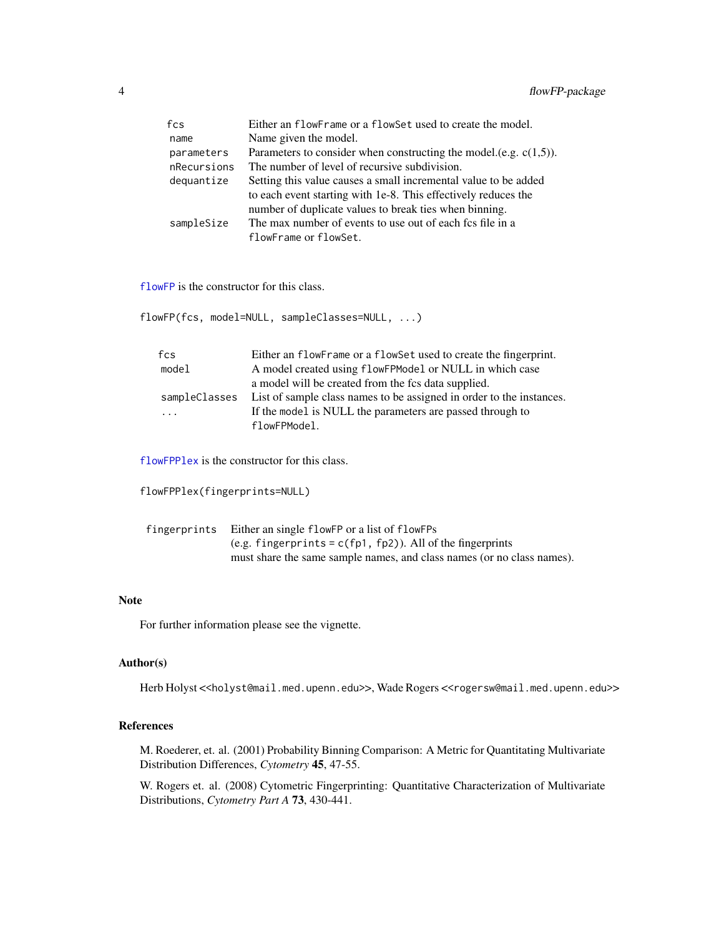<span id="page-3-0"></span>

| fcs         | Either an flowFrame or a flowSet used to create the model.           |
|-------------|----------------------------------------------------------------------|
| name        | Name given the model.                                                |
| parameters  | Parameters to consider when constructing the model.(e.g. $c(1,5)$ ). |
| nRecursions | The number of level of recursive subdivision.                        |
| dequantize  | Setting this value causes a small incremental value to be added      |
|             | to each event starting with 1e-8. This effectively reduces the       |
|             | number of duplicate values to break ties when binning.               |
| sampleSize  | The max number of events to use out of each fcs file in a            |
|             | flowFrame or flowSet.                                                |

[flowFP](#page-6-1) is the constructor for this class.

flowFP(fcs, model=NULL, sampleClasses=NULL, ...)

| Either an flowFrame or a flowSet used to create the fingerprint.     |
|----------------------------------------------------------------------|
| A model created using flowFPModel or NULL in which case              |
| a model will be created from the fcs data supplied.                  |
| List of sample class names to be assigned in order to the instances. |
| If the model is NULL the parameters are passed through to            |
| flowFPModel.                                                         |
|                                                                      |

[flowFPPlex](#page-13-1) is the constructor for this class.

```
flowFPPlex(fingerprints=NULL)
```

| fingerprints Either an single flowFP or a list of flowFPs              |
|------------------------------------------------------------------------|
| (e.g. fingerprints = $c$ (fp1, fp2)). All of the fingerprints          |
| must share the same sample names, and class names (or no class names). |

# Note

For further information please see the vignette.

# Author(s)

Herb Holyst <<holyst@mail.med.upenn.edu>>, Wade Rogers <<rogersw@mail.med.upenn.edu>>

# References

M. Roederer, et. al. (2001) Probability Binning Comparison: A Metric for Quantitating Multivariate Distribution Differences, *Cytometry* 45, 47-55.

W. Rogers et. al. (2008) Cytometric Fingerprinting: Quantitative Characterization of Multivariate Distributions, *Cytometry Part A* 73, 430-441.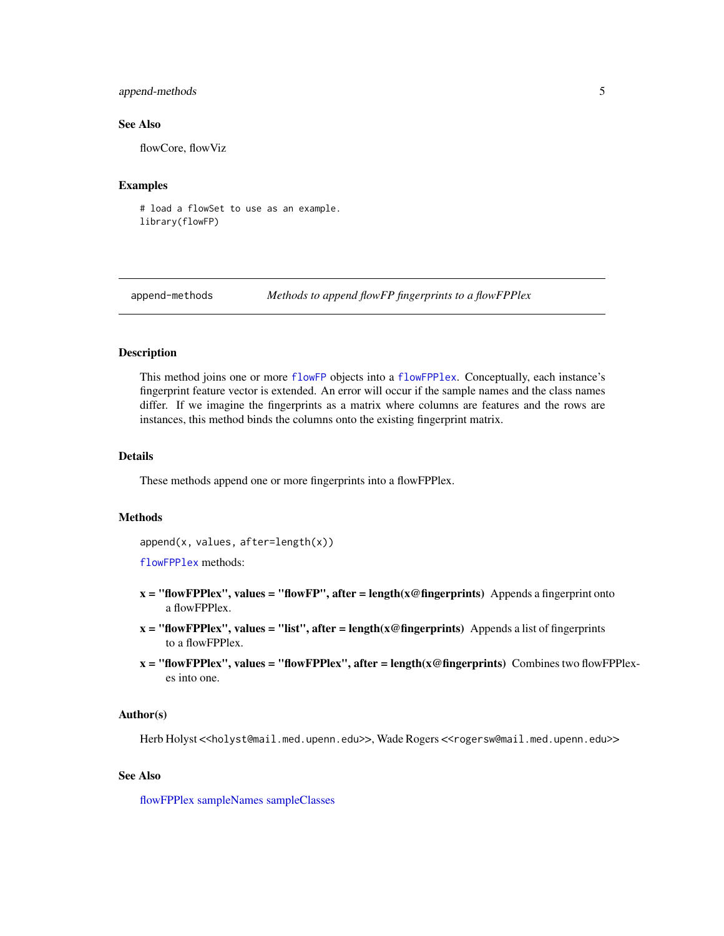# <span id="page-4-0"></span>append-methods 5

# See Also

flowCore, flowViz

# Examples

# load a flowSet to use as an example. library(flowFP)

<span id="page-4-1"></span>append-methods *Methods to append flowFP fingerprints to a flowFPPlex*

#### **Description**

This method joins one or more [flowFP](#page-6-1) objects into a [flowFPPlex](#page-13-1). Conceptually, each instance's fingerprint feature vector is extended. An error will occur if the sample names and the class names differ. If we imagine the fingerprints as a matrix where columns are features and the rows are instances, this method binds the columns onto the existing fingerprint matrix.

# Details

These methods append one or more fingerprints into a flowFPPlex.

#### Methods

append(x, values, after=length(x))

[flowFPPlex](#page-13-1) methods:

- $x =$  "flowFPPlex", values = "flowFP", after = length( $x \otimes f$  fingerprints) Appends a fingerprint onto a flowFPPlex.
- $x =$  "flowFPPlex", values = "list", after = length( $x \circledcirc$  fingerprints) Appends a list of fingerprints to a flowFPPlex.
- $x =$  "flowFPPlex", values = "flowFPPlex", after = length( $x \circledcirc$  fingerprints) Combines two flowFPPlexes into one.

# Author(s)

Herb Holyst <<holyst@mail.med.upenn.edu>>, Wade Rogers <<rogersw@mail.med.upenn.edu>>

# See Also

[flowFPPlex](#page-13-1) [sampleNames](#page-24-1) [sampleClasses](#page-24-2)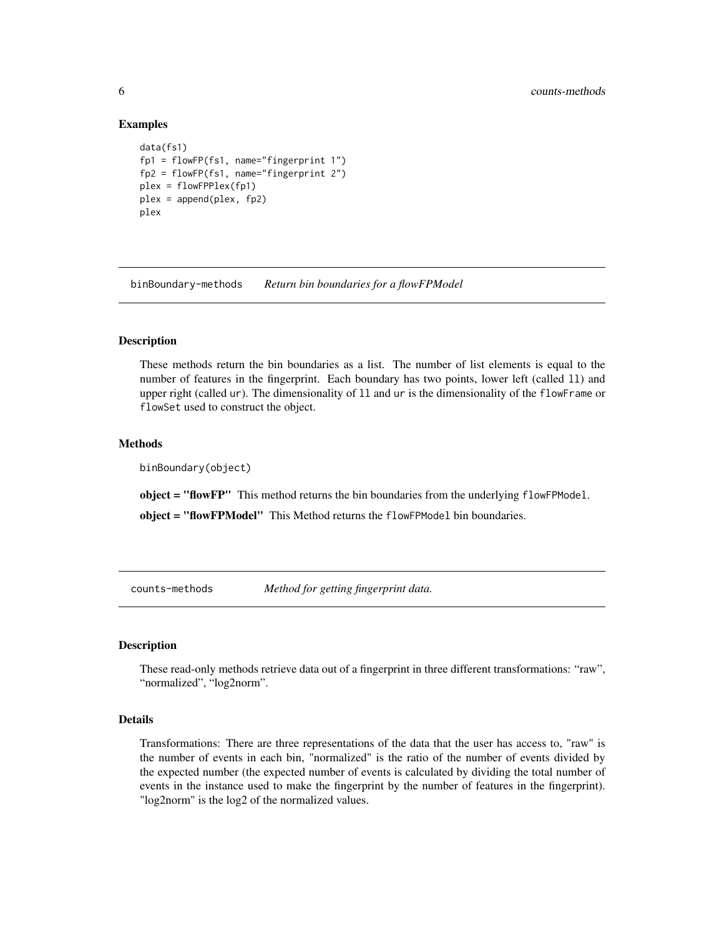#### Examples

```
data(fs1)
fp1 = flowFP(fs1, name="fingerprint 1")
fp2 = flowFP(fs1, name="fingerprint 2")
plex = flowFPPlex(fp1)
plex = append(plex, fp2)
plex
```
binBoundary-methods *Return bin boundaries for a flowFPModel*

# Description

These methods return the bin boundaries as a list. The number of list elements is equal to the number of features in the fingerprint. Each boundary has two points, lower left (called ll) and upper right (called ur). The dimensionality of ll and ur is the dimensionality of the flowFrame or flowSet used to construct the object.

# Methods

binBoundary(object)

object = "flowFP" This method returns the bin boundaries from the underlying flowFPModel.

object = "flowFPModel" This Method returns the flowFPModel bin boundaries.

counts-methods *Method for getting fingerprint data.*

#### <span id="page-5-1"></span>**Description**

These read-only methods retrieve data out of a fingerprint in three different transformations: "raw", "normalized", "log2norm".

#### Details

Transformations: There are three representations of the data that the user has access to, "raw" is the number of events in each bin, "normalized" is the ratio of the number of events divided by the expected number (the expected number of events is calculated by dividing the total number of events in the instance used to make the fingerprint by the number of features in the fingerprint). "log2norm" is the log2 of the normalized values.

<span id="page-5-0"></span>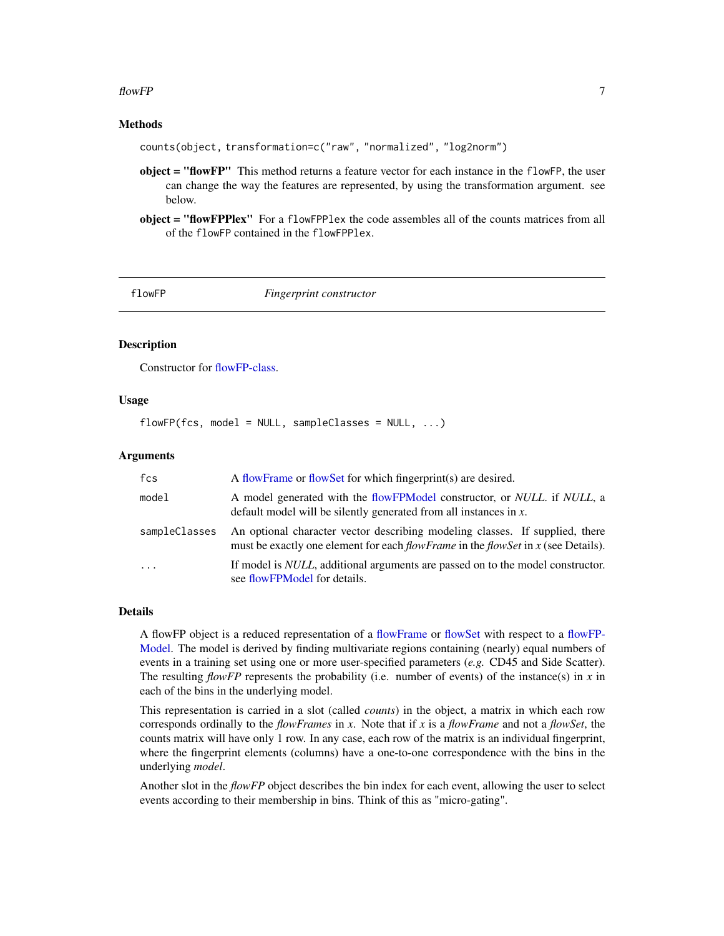# <span id="page-6-0"></span> $f$ low $FP$  7

# Methods

counts(object, transformation=c("raw", "normalized", "log2norm")

- object = "flowFP" This method returns a feature vector for each instance in the flowFP, the user can change the way the features are represented, by using the transformation argument. see below.
- object = "flowFPPlex" For a flowFPPlex the code assembles all of the counts matrices from all of the flowFP contained in the flowFPPlex.

<span id="page-6-1"></span>

flowFP *Fingerprint constructor*

# Description

Constructor for [flowFP-class.](#page-7-1)

# Usage

 $flowFP(fcs, model = NULL, sampleClasses = NULL, ...)$ 

# Arguments

| fcs           | A flowFrame or flowSet for which fingerprint(s) are desired.                                                                                                          |
|---------------|-----------------------------------------------------------------------------------------------------------------------------------------------------------------------|
| model         | A model generated with the flowFPModel constructor, or <i>NULL</i> , if <i>NULL</i> , a<br>default model will be silently generated from all instances in $x$ .       |
| sampleClasses | An optional character vector describing modeling classes. If supplied, there<br>must be exactly one element for each $flowFrame$ in the flowSet in $x$ (see Details). |
| $\ddots$      | If model is <i>NULL</i> , additional arguments are passed on to the model constructor.<br>see flowFPModel for details.                                                |

# Details

A flowFP object is a reduced representation of a [flowFrame](#page-0-0) or [flowSet](#page-0-0) with respect to a [flowFP-](#page-9-1)[Model.](#page-9-1) The model is derived by finding multivariate regions containing (nearly) equal numbers of events in a training set using one or more user-specified parameters (*e.g.* CD45 and Side Scatter). The resulting  $flowFP$  represents the probability (i.e. number of events) of the instance(s) in  $x$  in each of the bins in the underlying model.

This representation is carried in a slot (called *counts*) in the object, a matrix in which each row corresponds ordinally to the *flowFrames* in *x*. Note that if *x* is a *flowFrame* and not a *flowSet*, the counts matrix will have only 1 row. In any case, each row of the matrix is an individual fingerprint, where the fingerprint elements (columns) have a one-to-one correspondence with the bins in the underlying *model*.

Another slot in the *flowFP* object describes the bin index for each event, allowing the user to select events according to their membership in bins. Think of this as "micro-gating".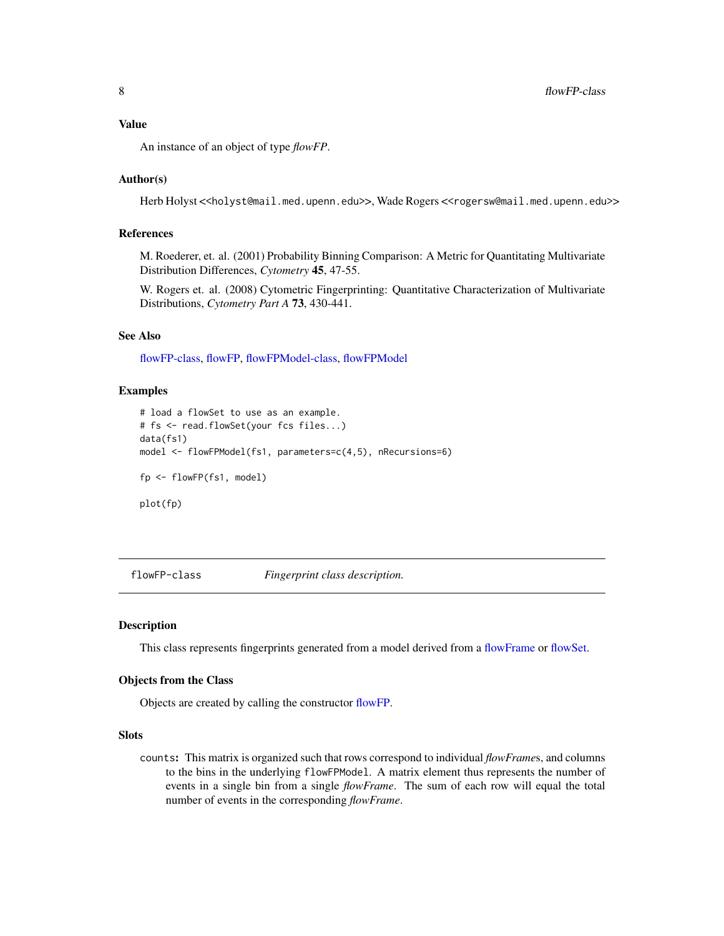# <span id="page-7-0"></span>Value

An instance of an object of type *flowFP*.

# Author(s)

Herb Holyst <<holyst@mail.med.upenn.edu>>, Wade Rogers <<rogersw@mail.med.upenn.edu>>

# References

M. Roederer, et. al. (2001) Probability Binning Comparison: A Metric for Quantitating Multivariate Distribution Differences, *Cytometry* 45, 47-55.

W. Rogers et. al. (2008) Cytometric Fingerprinting: Quantitative Characterization of Multivariate Distributions, *Cytometry Part A* 73, 430-441.

#### See Also

[flowFP-class,](#page-7-1) [flowFP,](#page-6-1) [flowFPModel-class,](#page-11-1) [flowFPModel](#page-9-1)

#### Examples

```
# load a flowSet to use as an example.
# fs <- read.flowSet(your fcs files...)
data(fs1)
model <- flowFPModel(fs1, parameters=c(4,5), nRecursions=6)
fp <- flowFP(fs1, model)
plot(fp)
```
<span id="page-7-1"></span>flowFP-class *Fingerprint class description.*

# **Description**

This class represents fingerprints generated from a model derived from a [flowFrame](#page-0-0) or [flowSet.](#page-0-0)

#### Objects from the Class

Objects are created by calling the constructor [flowFP.](#page-6-1)

## Slots

counts: This matrix is organized such that rows correspond to individual *flowFrame*s, and columns to the bins in the underlying flowFPModel. A matrix element thus represents the number of events in a single bin from a single *flowFrame*. The sum of each row will equal the total number of events in the corresponding *flowFrame*.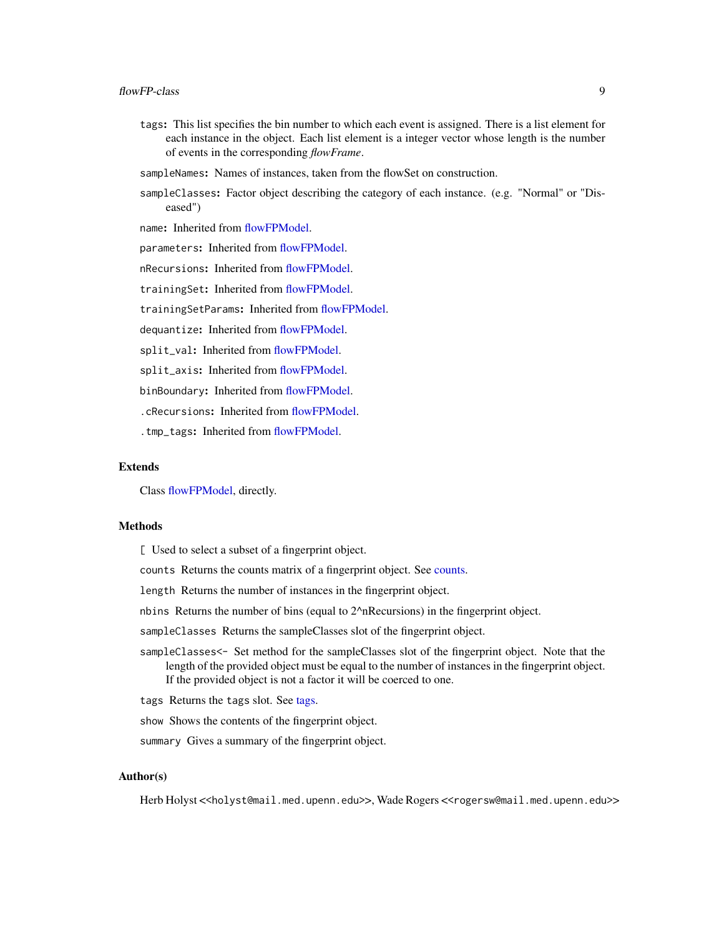- <span id="page-8-0"></span>tags: This list specifies the bin number to which each event is assigned. There is a list element for each instance in the object. Each list element is a integer vector whose length is the number of events in the corresponding *flowFrame*.
- sampleNames: Names of instances, taken from the flowSet on construction.
- sampleClasses: Factor object describing the category of each instance. (e.g. "Normal" or "Diseased")

name: Inherited from [flowFPModel.](#page-9-1)

parameters: Inherited from [flowFPModel.](#page-9-1)

nRecursions: Inherited from [flowFPModel.](#page-9-1)

trainingSet: Inherited from [flowFPModel.](#page-9-1)

trainingSetParams: Inherited from [flowFPModel.](#page-9-1)

dequantize: Inherited from [flowFPModel.](#page-9-1)

split\_val: Inherited from [flowFPModel.](#page-9-1)

split\_axis: Inherited from [flowFPModel.](#page-9-1)

binBoundary: Inherited from [flowFPModel.](#page-9-1)

.cRecursions: Inherited from [flowFPModel.](#page-9-1)

.tmp\_tags: Inherited from [flowFPModel.](#page-9-1)

#### Extends

Class [flowFPModel,](#page-11-1) directly.

# Methods

[ Used to select a subset of a fingerprint object.

counts Returns the counts matrix of a fingerprint object. See [counts.](#page-5-1)

length Returns the number of instances in the fingerprint object.

nbins Returns the number of bins (equal to 2^nRecursions) in the fingerprint object.

sampleClasses Returns the sampleClasses slot of the fingerprint object.

- sampleClasses<- Set method for the sampleClasses slot of the fingerprint object. Note that the length of the provided object must be equal to the number of instances in the fingerprint object. If the provided object is not a factor it will be coerced to one.
- tags Returns the tags slot. See [tags.](#page-25-1)

show Shows the contents of the fingerprint object.

summary Gives a summary of the fingerprint object.

#### Author(s)

Herb Holyst <<holyst@mail.med.upenn.edu>>, Wade Rogers <<rogersw@mail.med.upenn.edu>>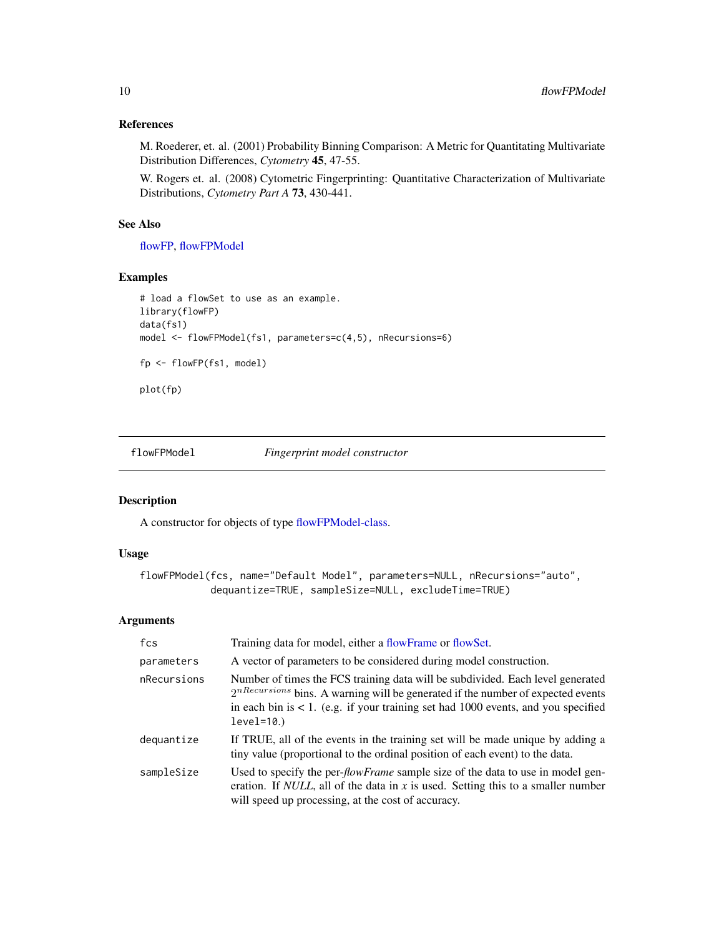# References

M. Roederer, et. al. (2001) Probability Binning Comparison: A Metric for Quantitating Multivariate Distribution Differences, *Cytometry* 45, 47-55.

W. Rogers et. al. (2008) Cytometric Fingerprinting: Quantitative Characterization of Multivariate Distributions, *Cytometry Part A* 73, 430-441.

# See Also

[flowFP,](#page-6-1) [flowFPModel](#page-9-1)

# Examples

```
# load a flowSet to use as an example.
library(flowFP)
data(fs1)
model <- flowFPModel(fs1, parameters=c(4,5), nRecursions=6)
fp <- flowFP(fs1, model)
plot(fp)
```
<span id="page-9-1"></span>flowFPModel *Fingerprint model constructor*

# Description

A constructor for objects of type [flowFPModel-class.](#page-11-1)

# Usage

```
flowFPModel(fcs, name="Default Model", parameters=NULL, nRecursions="auto",
            dequantize=TRUE, sampleSize=NULL, excludeTime=TRUE)
```
# Arguments

| fcs         | Training data for model, either a flowFrame or flowSet.                                                                                                                                                                                                                      |
|-------------|------------------------------------------------------------------------------------------------------------------------------------------------------------------------------------------------------------------------------------------------------------------------------|
| parameters  | A vector of parameters to be considered during model construction.                                                                                                                                                                                                           |
| nRecursions | Number of times the FCS training data will be subdivided. Each level generated<br>$2^{nRecursion}$ bins. A warning will be generated if the number of expected events<br>in each bin is $< 1$ . (e.g. if your training set had 1000 events, and you specified<br>$level=10.$ |
| dequantize  | If TRUE, all of the events in the training set will be made unique by adding a<br>tiny value (proportional to the ordinal position of each event) to the data.                                                                                                               |
| sampleSize  | Used to specify the per- <i>flowFrame</i> sample size of the data to use in model gen-<br>eration. If <i>NULL</i> , all of the data in $x$ is used. Setting this to a smaller number<br>will speed up processing, at the cost of accuracy.                                   |

<span id="page-9-0"></span>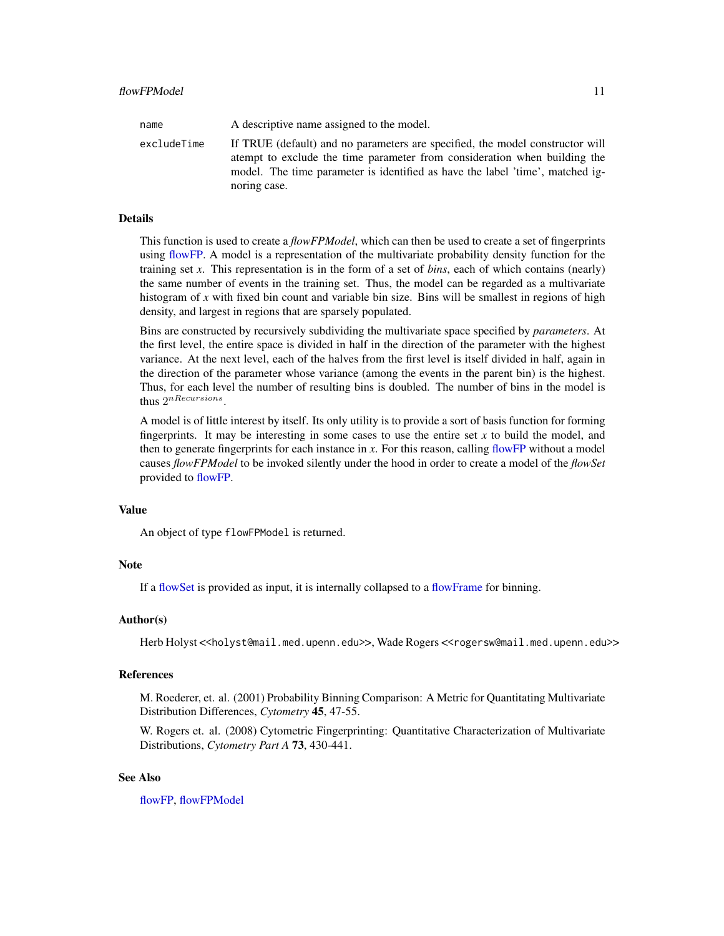<span id="page-10-0"></span>

| name        | A descriptive name assigned to the model.                                                                                                                                                                                                                   |
|-------------|-------------------------------------------------------------------------------------------------------------------------------------------------------------------------------------------------------------------------------------------------------------|
| excludeTime | If TRUE (default) and no parameters are specified, the model constructor will<br>atempt to exclude the time parameter from consideration when building the<br>model. The time parameter is identified as have the label 'time', matched ig-<br>noring case. |

# Details

This function is used to create a *flowFPModel*, which can then be used to create a set of fingerprints using [flowFP.](#page-6-1) A model is a representation of the multivariate probability density function for the training set *x*. This representation is in the form of a set of *bins*, each of which contains (nearly) the same number of events in the training set. Thus, the model can be regarded as a multivariate histogram of *x* with fixed bin count and variable bin size. Bins will be smallest in regions of high density, and largest in regions that are sparsely populated.

Bins are constructed by recursively subdividing the multivariate space specified by *parameters*. At the first level, the entire space is divided in half in the direction of the parameter with the highest variance. At the next level, each of the halves from the first level is itself divided in half, again in the direction of the parameter whose variance (among the events in the parent bin) is the highest. Thus, for each level the number of resulting bins is doubled. The number of bins in the model is thus  $2^{nRecursions}$ .

A model is of little interest by itself. Its only utility is to provide a sort of basis function for forming fingerprints. It may be interesting in some cases to use the entire set  $x$  to build the model, and then to generate fingerprints for each instance in *x*. For this reason, calling [flowFP](#page-6-1) without a model causes *flowFPModel* to be invoked silently under the hood in order to create a model of the *flowSet* provided to [flowFP.](#page-6-1)

#### Value

An object of type flowFPModel is returned.

# Note

If a [flowSet](#page-0-0) is provided as input, it is internally collapsed to a [flowFrame](#page-0-0) for binning.

#### Author(s)

Herb Holyst <<holyst@mail.med.upenn.edu>>, Wade Rogers <<rogersw@mail.med.upenn.edu>>

# References

M. Roederer, et. al. (2001) Probability Binning Comparison: A Metric for Quantitating Multivariate Distribution Differences, *Cytometry* 45, 47-55.

W. Rogers et. al. (2008) Cytometric Fingerprinting: Quantitative Characterization of Multivariate Distributions, *Cytometry Part A* 73, 430-441.

# See Also

[flowFP,](#page-6-1) [flowFPModel](#page-9-1)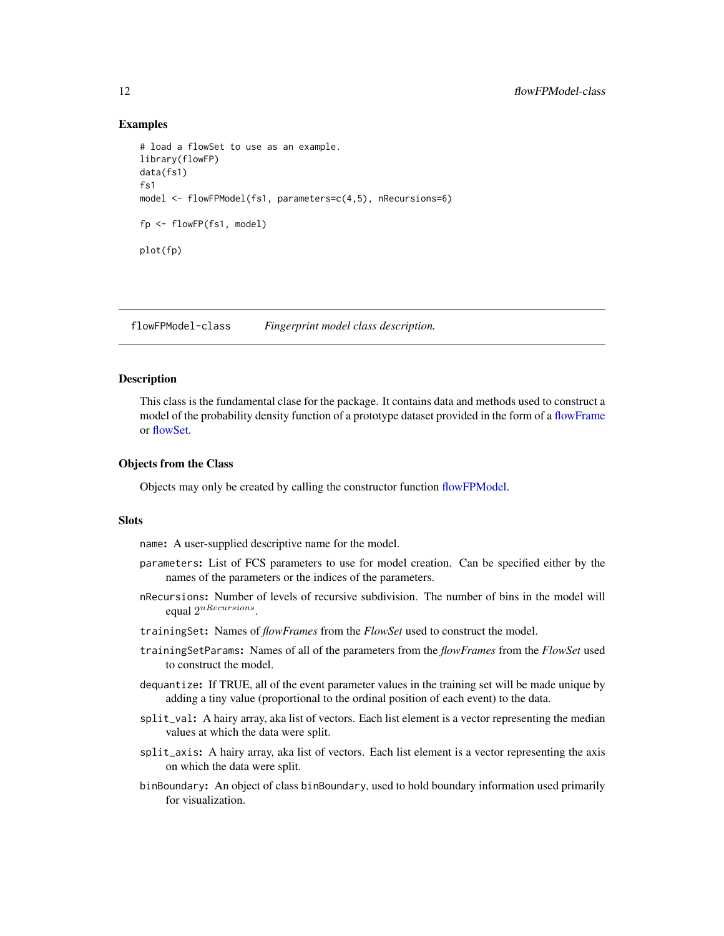# Examples

```
# load a flowSet to use as an example.
library(flowFP)
data(fs1)
fs1
model <- flowFPModel(fs1, parameters=c(4,5), nRecursions=6)
fp <- flowFP(fs1, model)
plot(fp)
```
<span id="page-11-1"></span>flowFPModel-class *Fingerprint model class description.*

# Description

This class is the fundamental clase for the package. It contains data and methods used to construct a model of the probability density function of a prototype dataset provided in the form of a [flowFrame](#page-0-0) or [flowSet.](#page-0-0)

#### Objects from the Class

Objects may only be created by calling the constructor function [flowFPModel.](#page-9-1)

#### Slots

name: A user-supplied descriptive name for the model.

- parameters: List of FCS parameters to use for model creation. Can be specified either by the names of the parameters or the indices of the parameters.
- nRecursions: Number of levels of recursive subdivision. The number of bins in the model will equal  $2^{nRecursions}$ .
- trainingSet: Names of *flowFrames* from the *FlowSet* used to construct the model.
- trainingSetParams: Names of all of the parameters from the *flowFrames* from the *FlowSet* used to construct the model.
- dequantize: If TRUE, all of the event parameter values in the training set will be made unique by adding a tiny value (proportional to the ordinal position of each event) to the data.
- split\_val: A hairy array, aka list of vectors. Each list element is a vector representing the median values at which the data were split.
- split\_axis: A hairy array, aka list of vectors. Each list element is a vector representing the axis on which the data were split.
- binBoundary: An object of class binBoundary, used to hold boundary information used primarily for visualization.

<span id="page-11-0"></span>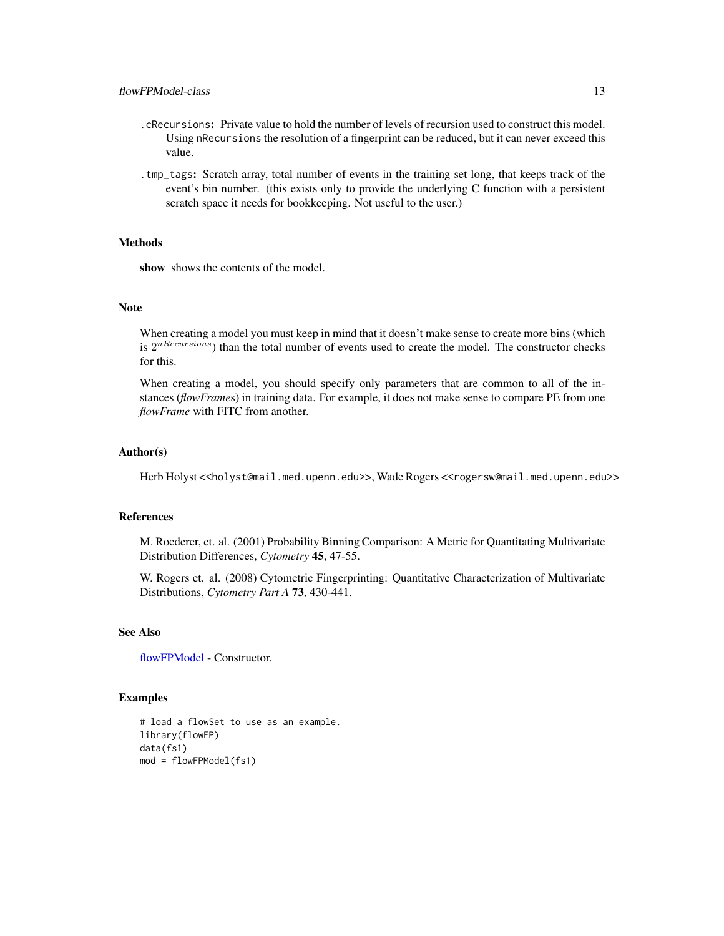- .cRecursions: Private value to hold the number of levels of recursion used to construct this model. Using nRecursions the resolution of a fingerprint can be reduced, but it can never exceed this value.
- .tmp\_tags: Scratch array, total number of events in the training set long, that keeps track of the event's bin number. (this exists only to provide the underlying C function with a persistent scratch space it needs for bookkeeping. Not useful to the user.)

#### Methods

show shows the contents of the model.

# Note

When creating a model you must keep in mind that it doesn't make sense to create more bins (which is  $2^{nRecursions}$ ) than the total number of events used to create the model. The constructor checks for this.

When creating a model, you should specify only parameters that are common to all of the instances (*flowFrame*s) in training data. For example, it does not make sense to compare PE from one *flowFrame* with FITC from another.

#### Author(s)

Herb Holyst <<holyst@mail.med.upenn.edu>>, Wade Rogers <<rogersw@mail.med.upenn.edu>>

#### References

M. Roederer, et. al. (2001) Probability Binning Comparison: A Metric for Quantitating Multivariate Distribution Differences, *Cytometry* 45, 47-55.

W. Rogers et. al. (2008) Cytometric Fingerprinting: Quantitative Characterization of Multivariate Distributions, *Cytometry Part A* 73, 430-441.

# See Also

[flowFPModel](#page-9-1) - Constructor.

#### Examples

```
# load a flowSet to use as an example.
library(flowFP)
data(fs1)
mod = flowFPModel(fs1)
```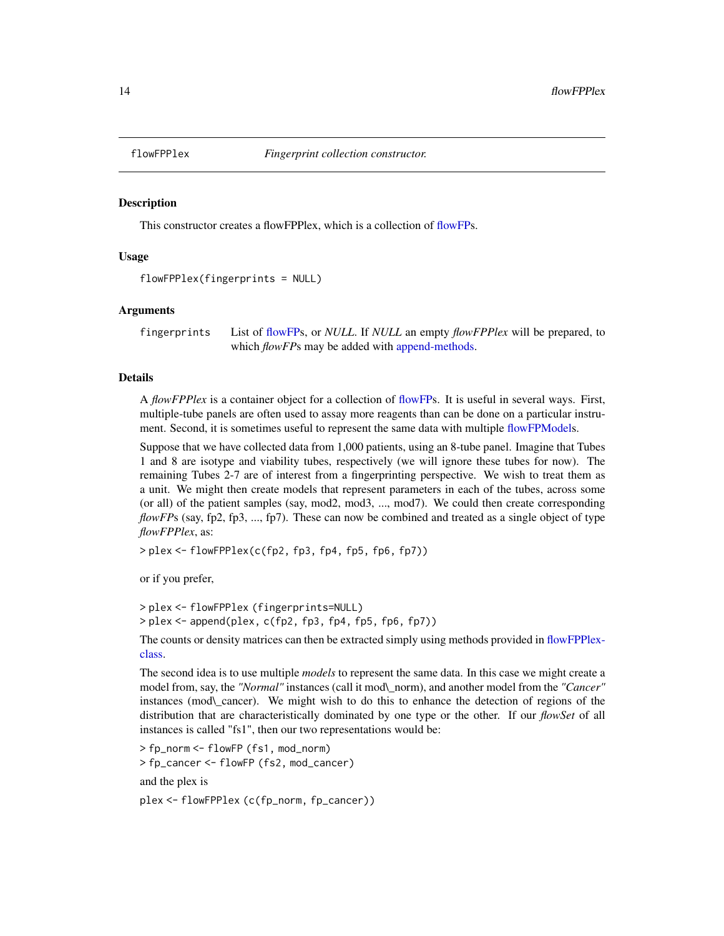<span id="page-13-1"></span><span id="page-13-0"></span>

This constructor creates a flowFPPlex, which is a collection of [flowFPs](#page-6-1).

# Usage

```
flowFPPlex(fingerprints = NULL)
```
# Arguments

fingerprints List of [flowFPs](#page-6-1), or *NULL*. If *NULL* an empty *flowFPPlex* will be prepared, to which *flowFP*s may be added with [append-methods.](#page-4-1)

# Details

A *flowFPPlex* is a container object for a collection of [flowFPs](#page-6-1). It is useful in several ways. First, multiple-tube panels are often used to assay more reagents than can be done on a particular instrument. Second, it is sometimes useful to represent the same data with multiple [flowFPModels](#page-9-1).

Suppose that we have collected data from 1,000 patients, using an 8-tube panel. Imagine that Tubes 1 and 8 are isotype and viability tubes, respectively (we will ignore these tubes for now). The remaining Tubes 2-7 are of interest from a fingerprinting perspective. We wish to treat them as a unit. We might then create models that represent parameters in each of the tubes, across some (or all) of the patient samples (say, mod2, mod3, ..., mod7). We could then create corresponding *flowFPs* (say, fp2, fp3, ..., fp7). These can now be combined and treated as a single object of type *flowFPPlex*, as:

> plex <- flowFPPlex(c(fp2, fp3, fp4, fp5, fp6, fp7))

or if you prefer,

```
> plex <- flowFPPlex (fingerprints=NULL)
> plex <- append(plex, c(fp2, fp3, fp4, fp5, fp6, fp7))
```
The counts or density matrices can then be extracted simply using methods provided in [flowFPPlex](#page-14-1)[class.](#page-14-1)

The second idea is to use multiple *models* to represent the same data. In this case we might create a model from, say, the *"Normal"* instances (call it mod\\_norm), and another model from the *"Cancer"* instances (mod\\_cancer). We might wish to do this to enhance the detection of regions of the distribution that are characteristically dominated by one type or the other. If our *flowSet* of all instances is called "fs1", then our two representations would be:

> fp\_norm <- flowFP (fs1, mod\_norm) > fp\_cancer <- flowFP (fs2, mod\_cancer) and the plex is

plex <- flowFPPlex (c(fp\_norm, fp\_cancer))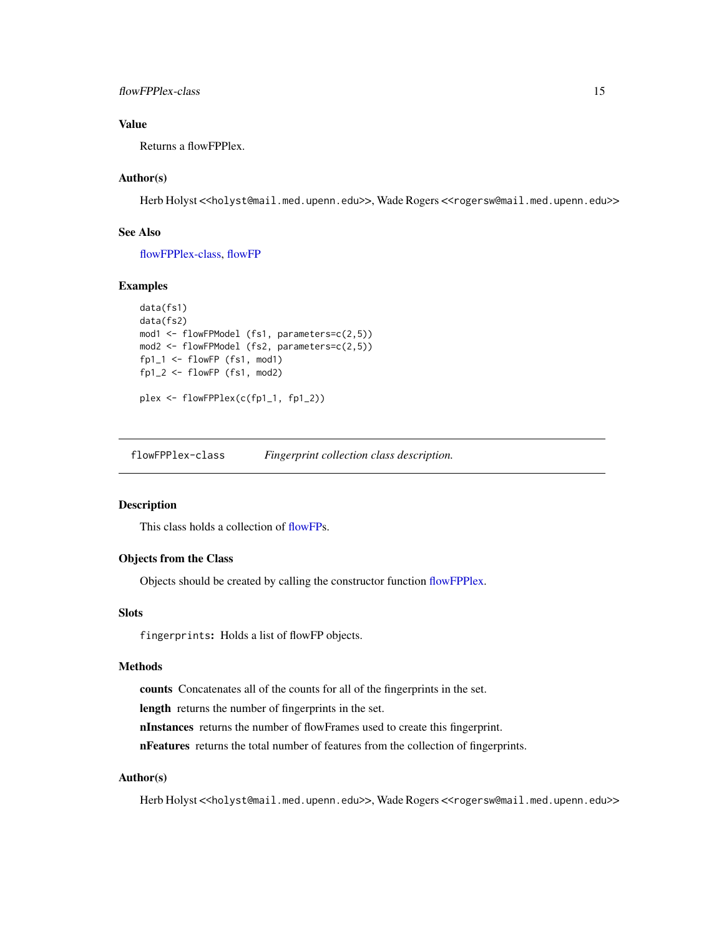# <span id="page-14-0"></span>Value

Returns a flowFPPlex.

# Author(s)

Herb Holyst <<holyst@mail.med.upenn.edu>>, Wade Rogers <<rogersw@mail.med.upenn.edu>>

# See Also

[flowFPPlex-class,](#page-14-1) [flowFP](#page-6-1)

# Examples

```
data(fs1)
data(fs2)
mod1 <- flowFPModel (fs1, parameters=c(2,5))
mod2 <- flowFPModel (fs2, parameters=c(2,5))
fp1_1 < -f1owFP (fs1, mod1)fp1_2 < - flowFP (fs1, mod2)
plex <- flowFPPlex(c(fp1_1, fp1_2))
```
<span id="page-14-1"></span>flowFPPlex-class *Fingerprint collection class description.*

#### Description

This class holds a collection of [flowFPs](#page-6-1).

# Objects from the Class

Objects should be created by calling the constructor function [flowFPPlex.](#page-13-1)

# **Slots**

fingerprints: Holds a list of flowFP objects.

#### Methods

counts Concatenates all of the counts for all of the fingerprints in the set.

length returns the number of fingerprints in the set.

nInstances returns the number of flowFrames used to create this fingerprint.

nFeatures returns the total number of features from the collection of fingerprints.

# Author(s)

Herb Holyst <<holyst@mail.med.upenn.edu>>, Wade Rogers <<rogersw@mail.med.upenn.edu>>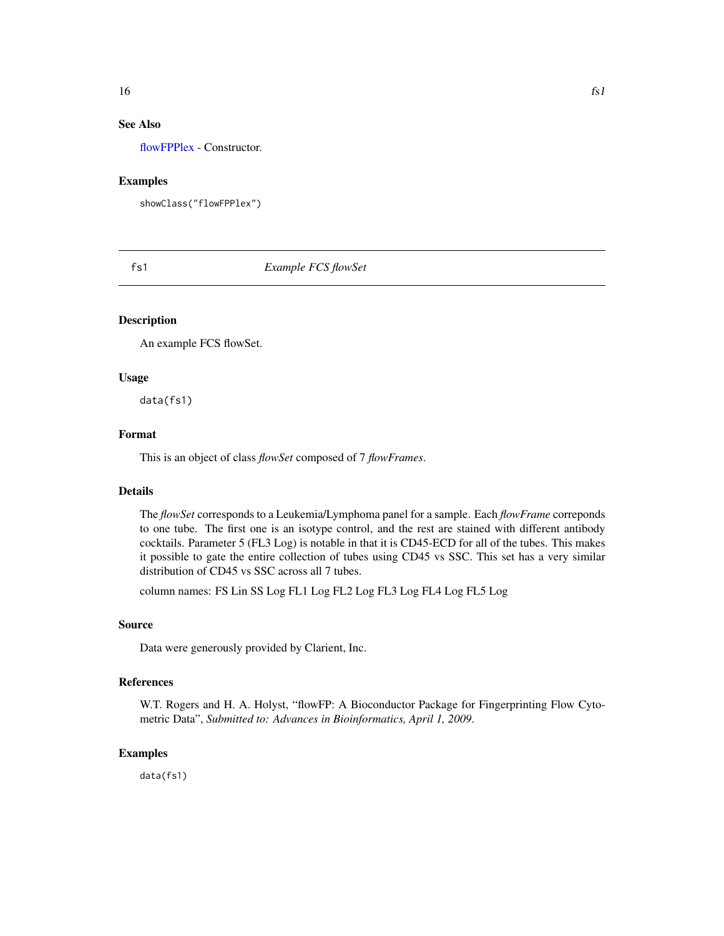# <span id="page-15-0"></span>See Also

[flowFPPlex](#page-13-1) - Constructor.

# Examples

showClass("flowFPPlex")

fs1 *Example FCS flowSet*

# Description

An example FCS flowSet.

# Usage

data(fs1)

# Format

This is an object of class *flowSet* composed of 7 *flowFrames*.

#### Details

The *flowSet* corresponds to a Leukemia/Lymphoma panel for a sample. Each *flowFrame* correponds to one tube. The first one is an isotype control, and the rest are stained with different antibody cocktails. Parameter 5 (FL3 Log) is notable in that it is CD45-ECD for all of the tubes. This makes it possible to gate the entire collection of tubes using CD45 vs SSC. This set has a very similar distribution of CD45 vs SSC across all 7 tubes.

column names: FS Lin SS Log FL1 Log FL2 Log FL3 Log FL4 Log FL5 Log

# Source

Data were generously provided by Clarient, Inc.

# References

W.T. Rogers and H. A. Holyst, "flowFP: A Bioconductor Package for Fingerprinting Flow Cytometric Data", *Submitted to: Advances in Bioinformatics, April 1, 2009*.

# Examples

data(fs1)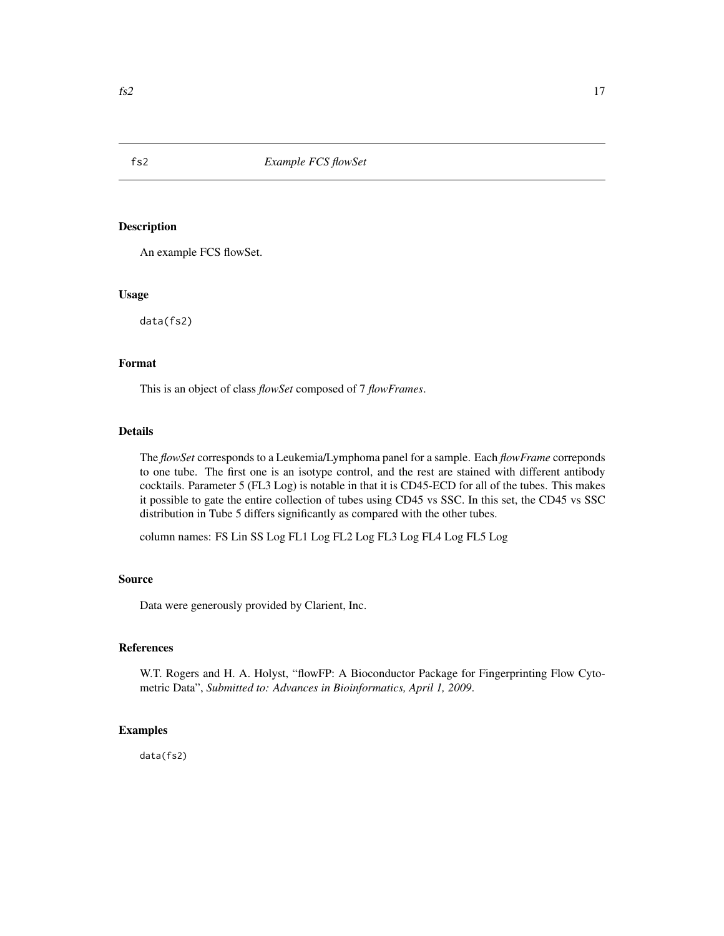<span id="page-16-0"></span>

An example FCS flowSet.

#### Usage

data(fs2)

# Format

This is an object of class *flowSet* composed of 7 *flowFrames*.

# Details

The *flowSet* corresponds to a Leukemia/Lymphoma panel for a sample. Each *flowFrame* correponds to one tube. The first one is an isotype control, and the rest are stained with different antibody cocktails. Parameter 5 (FL3 Log) is notable in that it is CD45-ECD for all of the tubes. This makes it possible to gate the entire collection of tubes using CD45 vs SSC. In this set, the CD45 vs SSC distribution in Tube 5 differs significantly as compared with the other tubes.

column names: FS Lin SS Log FL1 Log FL2 Log FL3 Log FL4 Log FL5 Log

# Source

Data were generously provided by Clarient, Inc.

# References

W.T. Rogers and H. A. Holyst, "flowFP: A Bioconductor Package for Fingerprinting Flow Cytometric Data", *Submitted to: Advances in Bioinformatics, April 1, 2009*.

# Examples

data(fs2)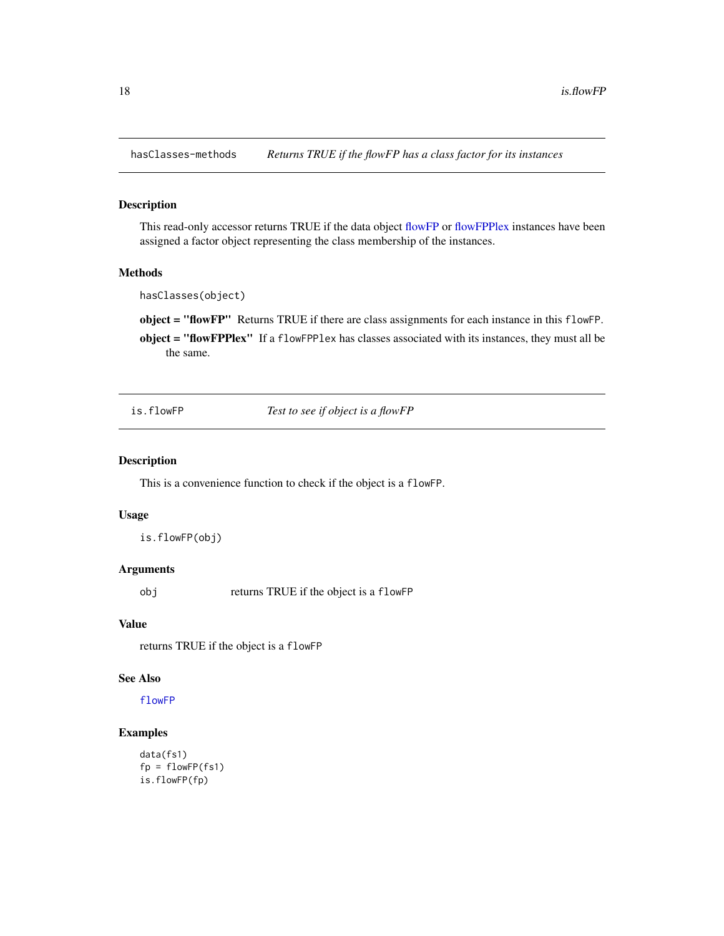<span id="page-17-0"></span>

This read-only accessor returns TRUE if the data object [flowFP](#page-6-1) or [flowFPPlex](#page-13-1) instances have been assigned a factor object representing the class membership of the instances.

# Methods

hasClasses(object)

object = "flowFP" Returns TRUE if there are class assignments for each instance in this flowFP.

object = "flowFPPlex" If a flowFPPlex has classes associated with its instances, they must all be the same.

is.flowFP *Test to see if object is a flowFP*

# Description

This is a convenience function to check if the object is a flowFP.

#### Usage

is.flowFP(obj)

#### Arguments

obj returns TRUE if the object is a flowFP

# Value

returns TRUE if the object is a flowFP

# See Also

[flowFP](#page-6-1)

#### Examples

```
data(fs1)
fp = flowFP(fs1)is.flowFP(fp)
```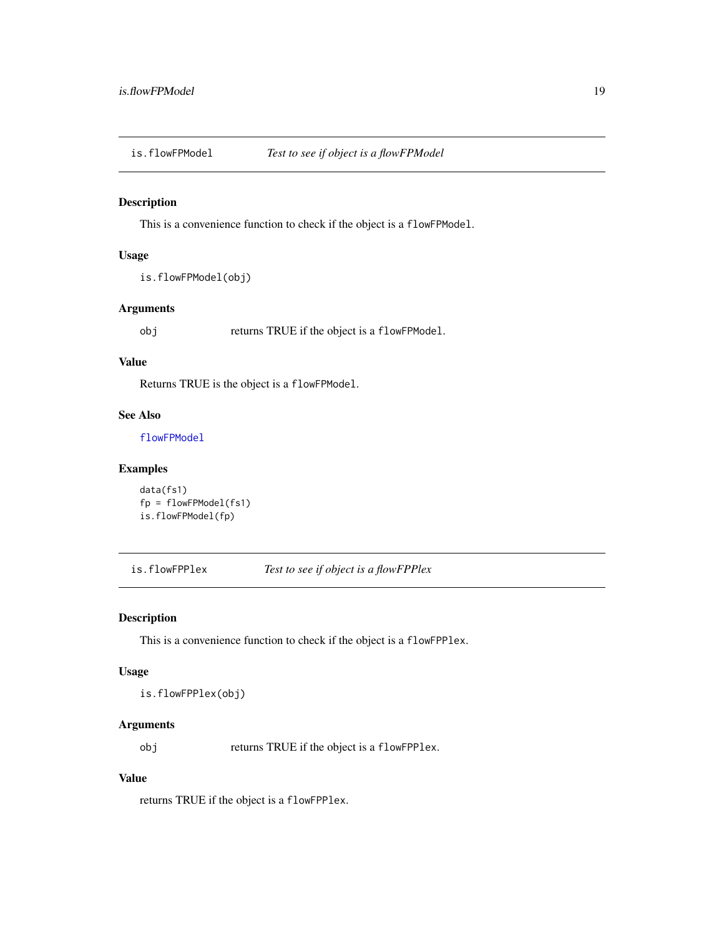<span id="page-18-0"></span>

This is a convenience function to check if the object is a flowFPModel.

#### Usage

```
is.flowFPModel(obj)
```
# Arguments

obj returns TRUE if the object is a flowFPModel.

# Value

Returns TRUE is the object is a flowFPModel.

# See Also

[flowFPModel](#page-9-1)

# Examples

```
data(fs1)
fp = flowFPModel(fs1)is.flowFPModel(fp)
```
is.flowFPPlex *Test to see if object is a flowFPPlex*

# Description

This is a convenience function to check if the object is a flowFPPlex.

# Usage

is.flowFPPlex(obj)

# Arguments

obj returns TRUE if the object is a flowFPPlex.

# Value

returns TRUE if the object is a flowFPPlex.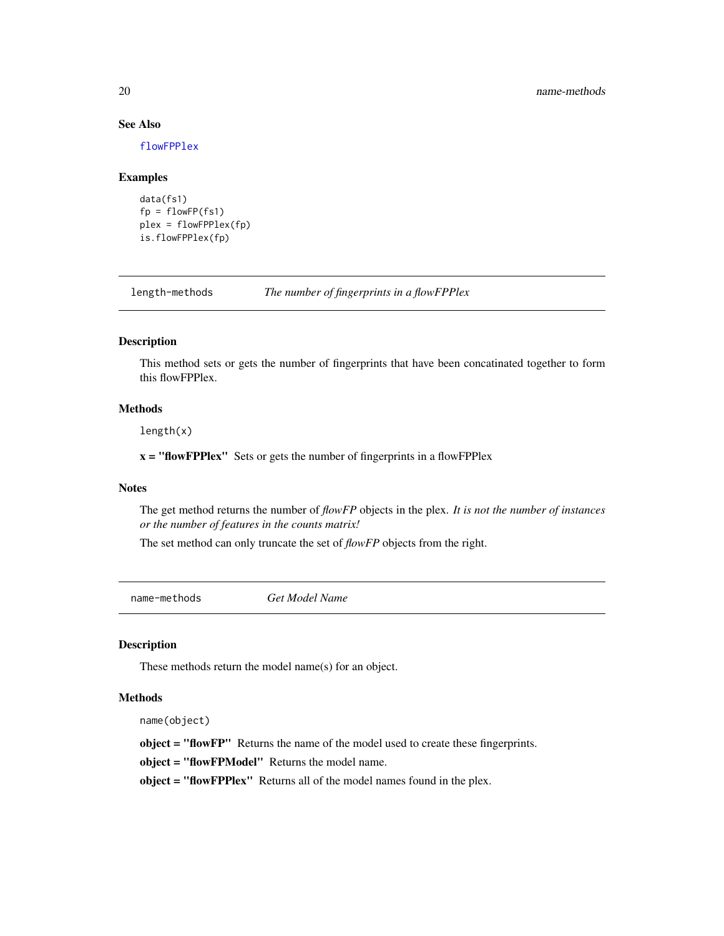# See Also

[flowFPPlex](#page-13-1)

#### Examples

```
data(fs1)
fp = flowFP(fs1)plex = flowFPPlex(fp)
is.flowFPPlex(fp)
```
length-methods *The number of fingerprints in a flowFPPlex*

# Description

This method sets or gets the number of fingerprints that have been concatinated together to form this flowFPPlex.

# Methods

length(x)

 $x =$  "flowFPPlex" Sets or gets the number of fingerprints in a flowFPPlex

# **Notes**

The get method returns the number of *flowFP* objects in the plex. *It is not the number of instances or the number of features in the counts matrix!*

The set method can only truncate the set of *flowFP* objects from the right.

name-methods *Get Model Name*

# Description

These methods return the model name(s) for an object.

# Methods

name(object)

object = "flowFP" Returns the name of the model used to create these fingerprints.

object = "flowFPModel" Returns the model name.

object = "flowFPPlex" Returns all of the model names found in the plex.

<span id="page-19-0"></span>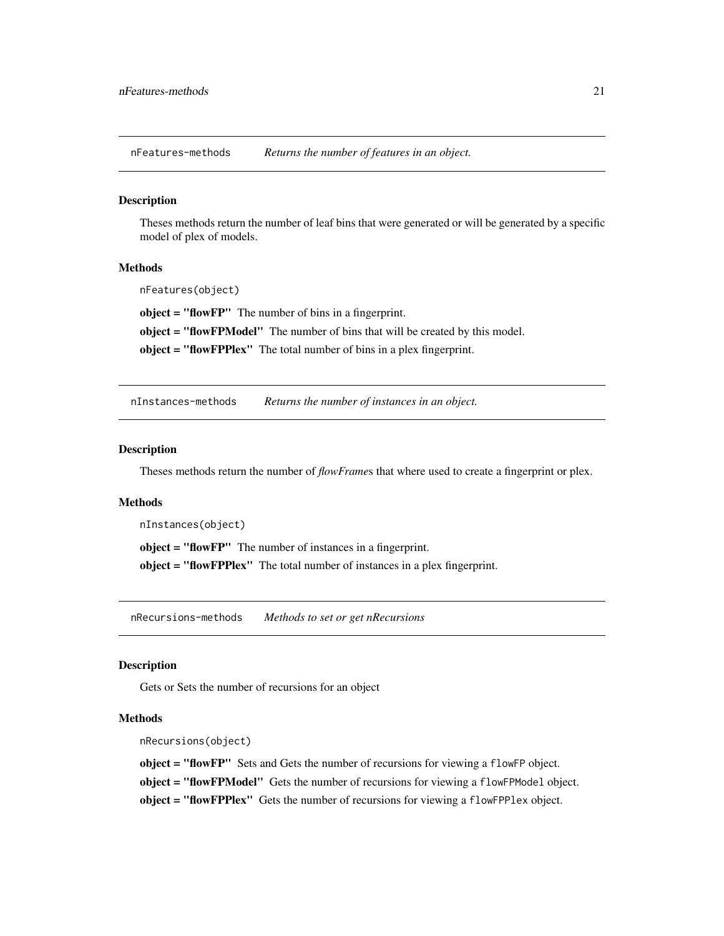<span id="page-20-0"></span>nFeatures-methods *Returns the number of features in an object.*

# Description

Theses methods return the number of leaf bins that were generated or will be generated by a specific model of plex of models.

#### Methods

nFeatures(object)

object = "flowFP" The number of bins in a fingerprint.

object = "flowFPModel" The number of bins that will be created by this model.

object = "flowFPPlex" The total number of bins in a plex fingerprint.

nInstances-methods *Returns the number of instances in an object.*

# Description

Theses methods return the number of *flowFrame*s that where used to create a fingerprint or plex.

#### Methods

nInstances(object)

object = "flowFP" The number of instances in a fingerprint. object = "flowFPPlex" The total number of instances in a plex fingerprint.

nRecursions-methods *Methods to set or get nRecursions*

# Description

Gets or Sets the number of recursions for an object

#### **Methods**

nRecursions(object)

object = "flowFP" Sets and Gets the number of recursions for viewing a flowFP object. object = "flowFPModel" Gets the number of recursions for viewing a flowFPModel object. object = "flowFPPlex" Gets the number of recursions for viewing a flowFPPlex object.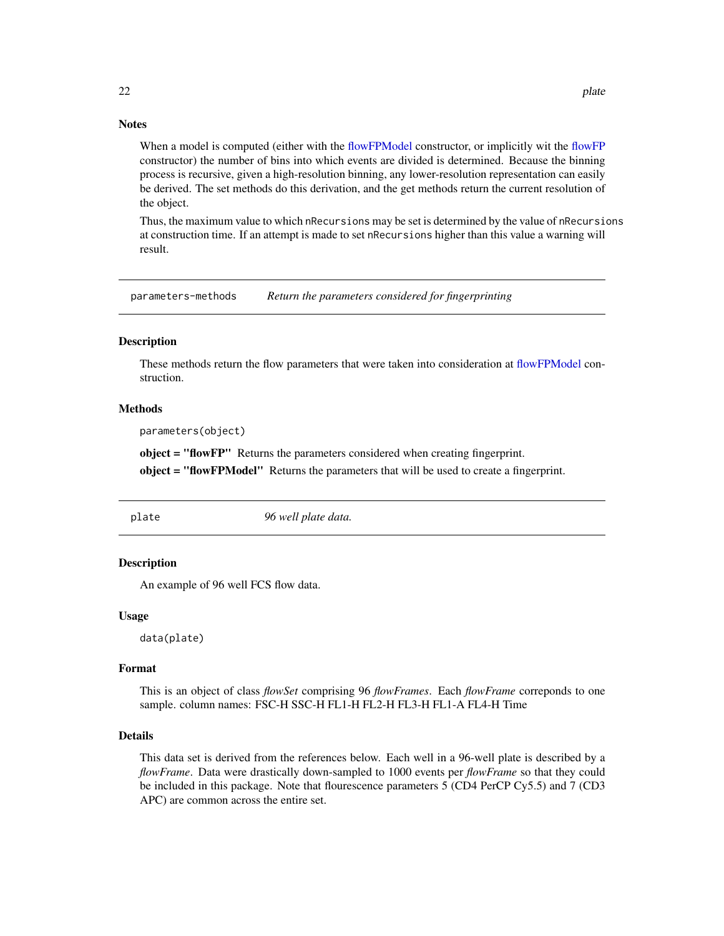# <span id="page-21-0"></span>**Notes**

When a model is computed (either with the [flowFPModel](#page-9-1) constructor, or implicitly wit the [flowFP](#page-6-1) constructor) the number of bins into which events are divided is determined. Because the binning process is recursive, given a high-resolution binning, any lower-resolution representation can easily be derived. The set methods do this derivation, and the get methods return the current resolution of the object.

Thus, the maximum value to which nRecursions may be set is determined by the value of nRecursions at construction time. If an attempt is made to set nRecursions higher than this value a warning will result.

parameters-methods *Return the parameters considered for fingerprinting*

#### Description

These methods return the flow parameters that were taken into consideration at [flowFPModel](#page-9-1) construction.

#### Methods

parameters(object)

object = "flowFP" Returns the parameters considered when creating fingerprint.

object = "flowFPModel" Returns the parameters that will be used to create a fingerprint.

plate *96 well plate data.*

# Description

An example of 96 well FCS flow data.

#### Usage

data(plate)

# Format

This is an object of class *flowSet* comprising 96 *flowFrames*. Each *flowFrame* correponds to one sample. column names: FSC-H SSC-H FL1-H FL2-H FL3-H FL1-A FL4-H Time

# Details

This data set is derived from the references below. Each well in a 96-well plate is described by a *flowFrame*. Data were drastically down-sampled to 1000 events per *flowFrame* so that they could be included in this package. Note that flourescence parameters 5 (CD4 PerCP Cy5.5) and 7 (CD3 APC) are common across the entire set.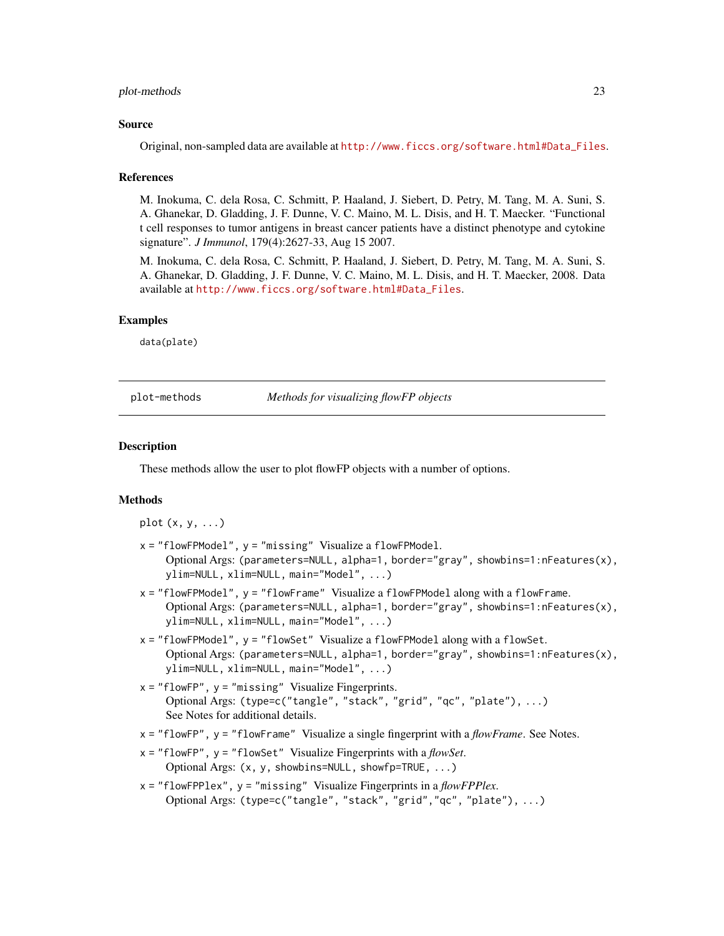#### <span id="page-22-0"></span>plot-methods 23

#### Source

Original, non-sampled data are available at [http://www.ficcs.org/software.html#Data\\_Files](http://www.ficcs.org/software.html#Data_Files).

#### References

M. Inokuma, C. dela Rosa, C. Schmitt, P. Haaland, J. Siebert, D. Petry, M. Tang, M. A. Suni, S. A. Ghanekar, D. Gladding, J. F. Dunne, V. C. Maino, M. L. Disis, and H. T. Maecker. "Functional t cell responses to tumor antigens in breast cancer patients have a distinct phenotype and cytokine signature". *J Immunol*, 179(4):2627-33, Aug 15 2007.

M. Inokuma, C. dela Rosa, C. Schmitt, P. Haaland, J. Siebert, D. Petry, M. Tang, M. A. Suni, S. A. Ghanekar, D. Gladding, J. F. Dunne, V. C. Maino, M. L. Disis, and H. T. Maecker, 2008. Data available at [http://www.ficcs.org/software.html#Data\\_Files](http://www.ficcs.org/software.html#Data_Files).

#### Examples

data(plate)

plot-methods *Methods for visualizing flowFP objects*

# **Description**

These methods allow the user to plot flowFP objects with a number of options.

# Methods

plot  $(x, y, \ldots)$ 

- x = "flowFPModel", y = "missing" Visualize a flowFPModel. Optional Args: (parameters=NULL, alpha=1, border="gray", showbins=1:nFeatures(x), ylim=NULL, xlim=NULL, main="Model", ...)
- $x =$  "flowFPModel",  $y =$  "flowFrame" Visualize a flowFPModel along with a flowFrame. Optional Args: (parameters=NULL, alpha=1, border="gray", showbins=1:nFeatures(x), ylim=NULL, xlim=NULL, main="Model", ...)
- x = "flowFPModel", y = "flowSet" Visualize a flowFPModel along with a flowSet. Optional Args: (parameters=NULL, alpha=1, border="gray", showbins=1:nFeatures(x), ylim=NULL, xlim=NULL, main="Model", ...)
- $x =$  "flowFP",  $y =$  "missing" Visualize Fingerprints. Optional Args: (type=c("tangle", "stack", "grid", "qc", "plate"), ...) See Notes for additional details.
- x = "flowFP", y = "flowFrame" Visualize a single fingerprint with a *flowFrame*. See Notes.
- x = "flowFP", y = "flowSet" Visualize Fingerprints with a *flowSet*. Optional Args: (x, y, showbins=NULL, showfp=TRUE, ...)
- x = "flowFPPlex", y = "missing" Visualize Fingerprints in a *flowFPPlex*. Optional Args: (type=c("tangle", "stack", "grid","qc", "plate"), ...)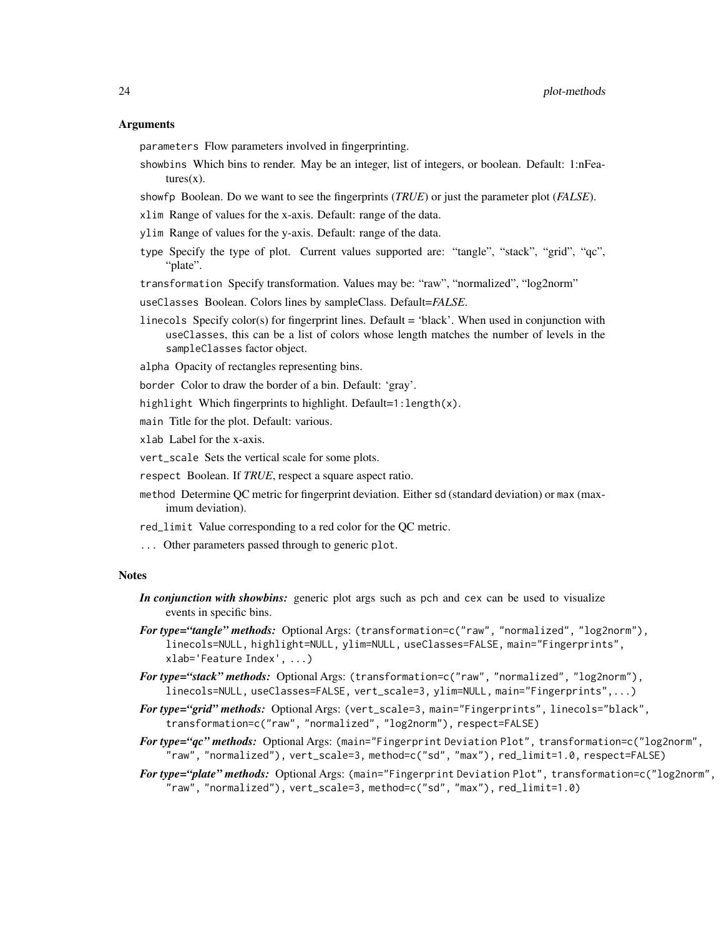#### Arguments

parameters Flow parameters involved in fingerprinting.

- showbins Which bins to render. May be an integer, list of integers, or boolean. Default: 1:nFea $tures(x)$ .
- showfp Boolean. Do we want to see the fingerprints (*TRUE*) or just the parameter plot (*FALSE*).
- xlim Range of values for the x-axis. Default: range of the data.
- ylim Range of values for the y-axis. Default: range of the data.
- type Specify the type of plot. Current values supported are: "tangle", "stack", "grid", "qc", "plate".

transformation Specify transformation. Values may be: "raw", "normalized", "log2norm"

- useClasses Boolean. Colors lines by sampleClass. Default=*FALSE*.
- linecols Specify color(s) for fingerprint lines. Default = 'black'. When used in conjunction with useClasses, this can be a list of colors whose length matches the number of levels in the sampleClasses factor object.
- alpha Opacity of rectangles representing bins.
- border Color to draw the border of a bin. Default: 'gray'.
- highlight Which fingerprints to highlight. Default=1: length(x).
- main Title for the plot. Default: various.
- xlab Label for the x-axis.
- vert\_scale Sets the vertical scale for some plots.
- respect Boolean. If *TRUE*, respect a square aspect ratio.
- method Determine QC metric for fingerprint deviation. Either sd (standard deviation) or max (maximum deviation).
- red\_limit Value corresponding to a red color for the QC metric.
- ... Other parameters passed through to generic plot.

#### Notes

- *In conjunction with showbins:* generic plot args such as pch and cex can be used to visualize events in specific bins.
- *For type="tangle" methods:* Optional Args: (transformation=c("raw", "normalized", "log2norm"), linecols=NULL, highlight=NULL, ylim=NULL, useClasses=FALSE, main="Fingerprints", xlab='Feature Index', ...)
- *For type="stack" methods:* Optional Args: (transformation=c("raw", "normalized", "log2norm"), linecols=NULL, useClasses=FALSE, vert\_scale=3, ylim=NULL, main="Fingerprints",...)
- *For type="grid" methods:* Optional Args: (vert\_scale=3, main="Fingerprints", linecols="black", transformation=c("raw", "normalized", "log2norm"), respect=FALSE)
- *For type="qc" methods:* Optional Args: (main="Fingerprint Deviation Plot", transformation=c("log2norm", "raw", "normalized"), vert\_scale=3, method=c("sd", "max"), red\_limit=1.0, respect=FALSE)
- *For type="plate" methods:* Optional Args: (main="Fingerprint Deviation Plot", transformation=c("log2norm", "raw", "normalized"), vert\_scale=3, method=c("sd", "max"), red\_limit=1.0)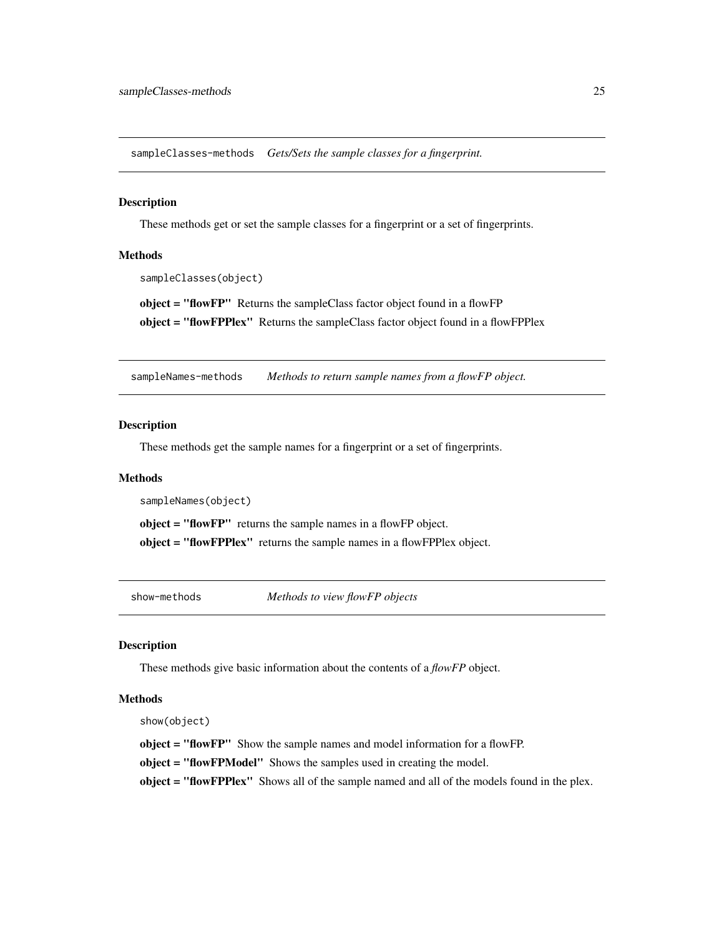<span id="page-24-0"></span>sampleClasses-methods *Gets/Sets the sample classes for a fingerprint.*

#### <span id="page-24-2"></span>Description

These methods get or set the sample classes for a fingerprint or a set of fingerprints.

#### Methods

```
sampleClasses(object)
```
object = "flowFP" Returns the sampleClass factor object found in a flowFP object = "flowFPPlex" Returns the sampleClass factor object found in a flowFPPlex

sampleNames-methods *Methods to return sample names from a flowFP object.*

#### <span id="page-24-1"></span>Description

These methods get the sample names for a fingerprint or a set of fingerprints.

#### Methods

```
sampleNames(object)
```
object = "flowFP" returns the sample names in a flowFP object.

object = "flowFPPlex" returns the sample names in a flowFPPlex object.

show-methods *Methods to view flowFP objects*

# Description

These methods give basic information about the contents of a *flowFP* object.

# Methods

show(object)

object = "flowFP" Show the sample names and model information for a flowFP.

object = "flowFPModel" Shows the samples used in creating the model.

object = "flowFPPlex" Shows all of the sample named and all of the models found in the plex.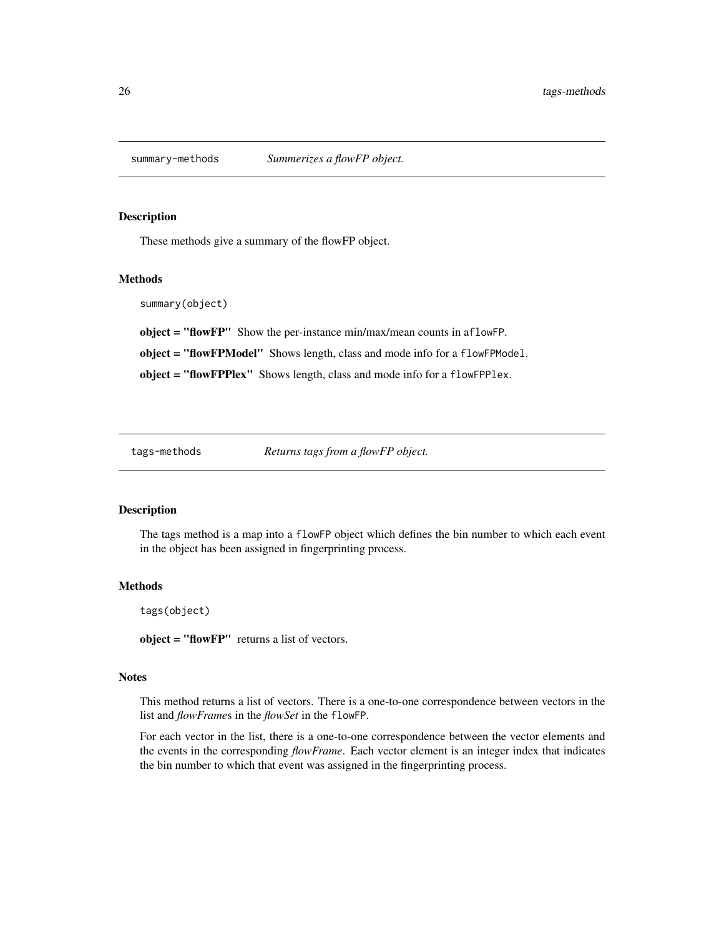<span id="page-25-0"></span>

These methods give a summary of the flowFP object.

# Methods

summary(object)

object = "flowFP" Show the per-instance min/max/mean counts in aflowFP.

object = "flowFPModel" Shows length, class and mode info for a flowFPModel.

object = "flowFPPlex" Shows length, class and mode info for a flowFPPlex.

tags-methods *Returns tags from a flowFP object.*

# <span id="page-25-1"></span>Description

The tags method is a map into a flowFP object which defines the bin number to which each event in the object has been assigned in fingerprinting process.

#### Methods

tags(object)

object = "flowFP" returns a list of vectors.

#### **Notes**

This method returns a list of vectors. There is a one-to-one correspondence between vectors in the list and *flowFrame*s in the *flowSet* in the flowFP.

For each vector in the list, there is a one-to-one correspondence between the vector elements and the events in the corresponding *flowFrame*. Each vector element is an integer index that indicates the bin number to which that event was assigned in the fingerprinting process.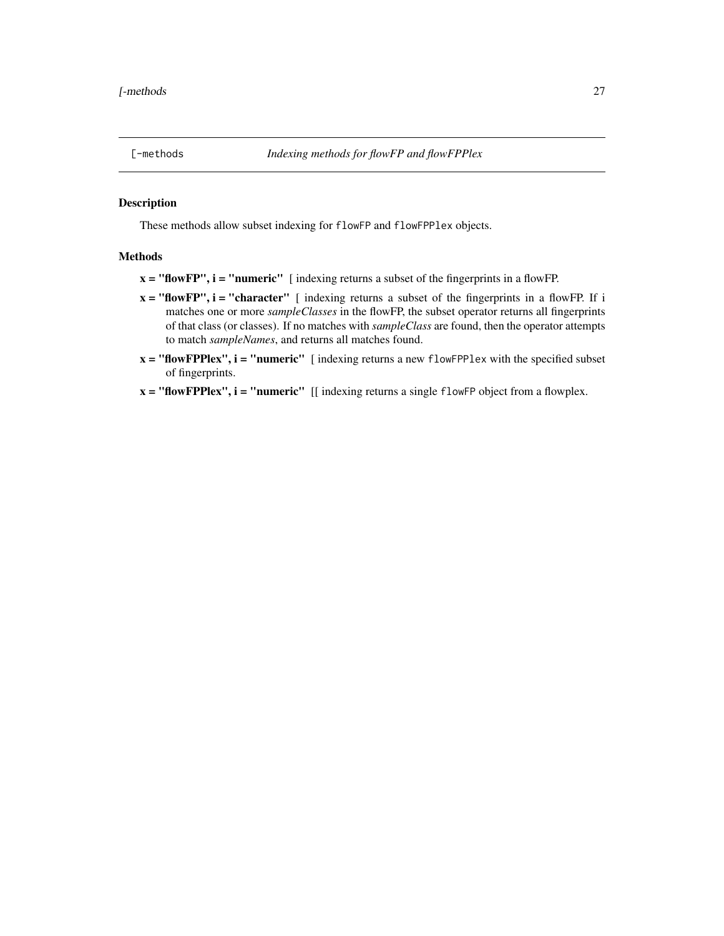<span id="page-26-0"></span>

These methods allow subset indexing for flowFP and flowFPPlex objects.

# Methods

 $x = "flowFP", i = "numeric"$  [indexing returns a subset of the fingerprints in a flowFP.

- $x = "flowFP", i = "character"$  [ indexing returns a subset of the fingerprints in a flowFP. If i matches one or more *sampleClasses* in the flowFP, the subset operator returns all fingerprints of that class (or classes). If no matches with *sampleClass* are found, then the operator attempts to match *sampleNames*, and returns all matches found.
- $x =$  "flowFPPlex",  $i =$  "numeric" [indexing returns a new flowFPPlex with the specified subset of fingerprints.
- $x =$  "flowFPPlex",  $i =$  "numeric" [[ indexing returns a single flowFP object from a flowplex.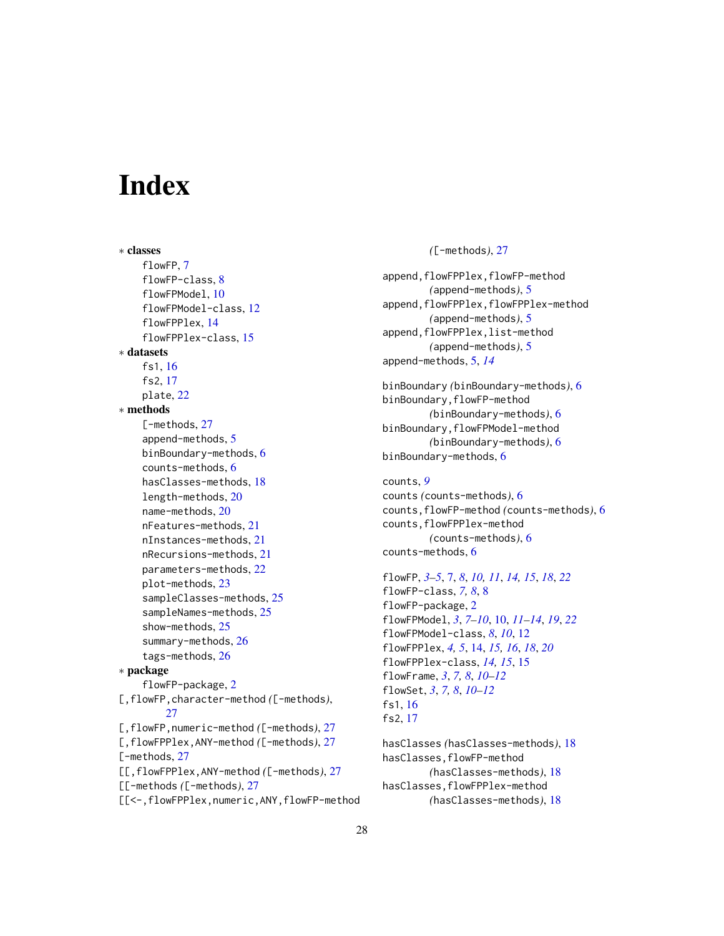# <span id="page-27-0"></span>**Index**

∗ classes flowFP, [7](#page-6-0) flowFP-class, [8](#page-7-0) flowFPModel, [10](#page-9-0) flowFPModel-class, [12](#page-11-0) flowFPPlex, [14](#page-13-0) flowFPPlex-class, [15](#page-14-0) ∗ datasets fs1, [16](#page-15-0) fs2, [17](#page-16-0) plate, [22](#page-21-0) ∗ methods [-methods, [27](#page-26-0) append-methods, [5](#page-4-0) binBoundary-methods, [6](#page-5-0) counts-methods, [6](#page-5-0) hasClasses-methods, [18](#page-17-0) length-methods, [20](#page-19-0) name-methods, [20](#page-19-0) nFeatures-methods, [21](#page-20-0) nInstances-methods, [21](#page-20-0) nRecursions-methods, [21](#page-20-0) parameters-methods, [22](#page-21-0) plot-methods, [23](#page-22-0) sampleClasses-methods, [25](#page-24-0) sampleNames-methods, [25](#page-24-0) show-methods, [25](#page-24-0) summary-methods, [26](#page-25-0) tags-methods, [26](#page-25-0) ∗ package flowFP-package, [2](#page-1-0) [,flowFP,character-method *(*[-methods*)*, [27](#page-26-0) [,flowFP,numeric-method *(*[-methods*)*, [27](#page-26-0) [,flowFPPlex,ANY-method *(*[-methods*)*, [27](#page-26-0) [-methods, [27](#page-26-0) [[,flowFPPlex,ANY-method *(*[-methods*)*, [27](#page-26-0) [[-methods *(*[-methods*)*, [27](#page-26-0) [[<-,flowFPPlex,numeric,ANY,flowFP-method *(*[-methods*)*, [27](#page-26-0)

append,flowFPPlex,flowFP-method *(*append-methods*)*, [5](#page-4-0) append,flowFPPlex,flowFPPlex-method *(*append-methods*)*, [5](#page-4-0) append,flowFPPlex,list-method *(*append-methods*)*, [5](#page-4-0) append-methods, [5,](#page-4-0) *[14](#page-13-0)*

binBoundary *(*binBoundary-methods*)*, [6](#page-5-0) binBoundary,flowFP-method *(*binBoundary-methods*)*, [6](#page-5-0) binBoundary,flowFPModel-method *(*binBoundary-methods*)*, [6](#page-5-0) binBoundary-methods, [6](#page-5-0)

counts, *[9](#page-8-0)* counts *(*counts-methods*)*, [6](#page-5-0) counts,flowFP-method *(*counts-methods*)*, [6](#page-5-0) counts,flowFPPlex-method *(*counts-methods*)*, [6](#page-5-0) counts-methods, [6](#page-5-0)

flowFP, *[3](#page-2-0)[–5](#page-4-0)*, [7,](#page-6-0) *[8](#page-7-0)*, *[10,](#page-9-0) [11](#page-10-0)*, *[14,](#page-13-0) [15](#page-14-0)*, *[18](#page-17-0)*, *[22](#page-21-0)* flowFP-class, *[7,](#page-6-0) [8](#page-7-0)*, [8](#page-7-0) flowFP-package, [2](#page-1-0) flowFPModel, *[3](#page-2-0)*, *[7](#page-6-0)[–10](#page-9-0)*, [10,](#page-9-0) *[11](#page-10-0)[–14](#page-13-0)*, *[19](#page-18-0)*, *[22](#page-21-0)* flowFPModel-class, *[8](#page-7-0)*, *[10](#page-9-0)*, [12](#page-11-0) flowFPPlex, *[4,](#page-3-0) [5](#page-4-0)*, [14,](#page-13-0) *[15,](#page-14-0) [16](#page-15-0)*, *[18](#page-17-0)*, *[20](#page-19-0)* flowFPPlex-class, *[14,](#page-13-0) [15](#page-14-0)*, [15](#page-14-0) flowFrame, *[3](#page-2-0)*, *[7,](#page-6-0) [8](#page-7-0)*, *[10](#page-9-0)[–12](#page-11-0)* flowSet, *[3](#page-2-0)*, *[7,](#page-6-0) [8](#page-7-0)*, *[10](#page-9-0)[–12](#page-11-0)* fs1, [16](#page-15-0) fs2, [17](#page-16-0)

hasClasses *(*hasClasses-methods*)*, [18](#page-17-0) hasClasses,flowFP-method *(*hasClasses-methods*)*, [18](#page-17-0) hasClasses,flowFPPlex-method *(*hasClasses-methods*)*, [18](#page-17-0)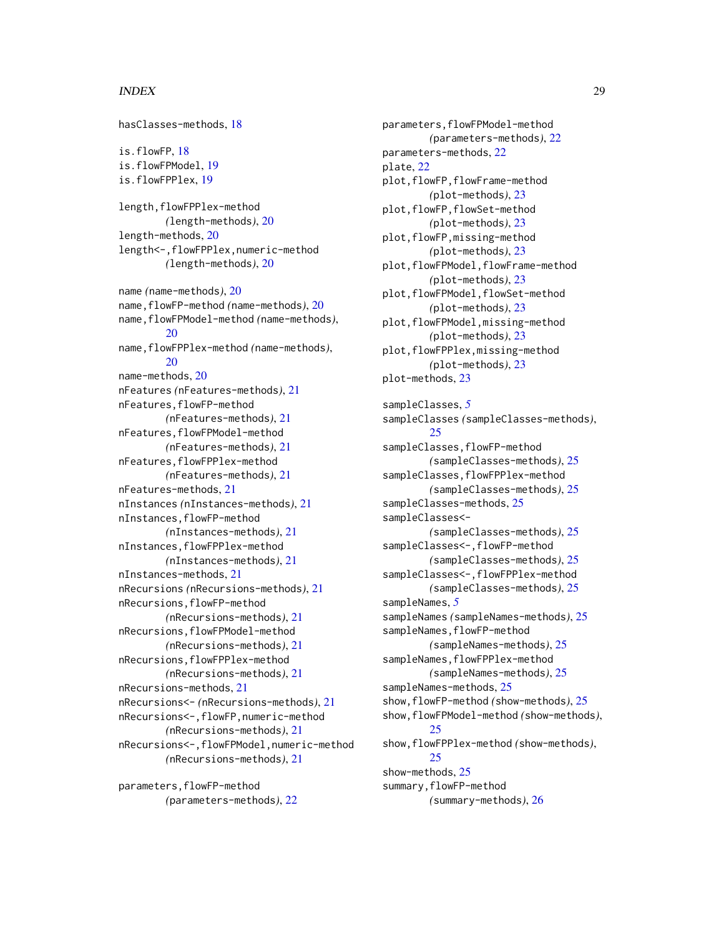# INDEX 29

hasClasses-methods, [18](#page-17-0) is.flowFP, [18](#page-17-0) is.flowFPModel, [19](#page-18-0) is.flowFPPlex, [19](#page-18-0) length, flowFPPlex-method *(*length-methods*)*, [20](#page-19-0) length-methods, [20](#page-19-0) length<-,flowFPPlex,numeric-method *(*length-methods*)*, [20](#page-19-0) name *(*name-methods*)*, [20](#page-19-0) name,flowFP-method *(*name-methods*)*, [20](#page-19-0) name,flowFPModel-method *(*name-methods*)*, [20](#page-19-0) name,flowFPPlex-method *(*name-methods*)*, [20](#page-19-0) name-methods, [20](#page-19-0) nFeatures *(*nFeatures-methods*)*, [21](#page-20-0) nFeatures,flowFP-method *(*nFeatures-methods*)*, [21](#page-20-0) nFeatures,flowFPModel-method *(*nFeatures-methods*)*, [21](#page-20-0) nFeatures,flowFPPlex-method *(*nFeatures-methods*)*, [21](#page-20-0) nFeatures-methods, [21](#page-20-0) nInstances *(*nInstances-methods*)*, [21](#page-20-0) nInstances,flowFP-method *(*nInstances-methods*)*, [21](#page-20-0) nInstances,flowFPPlex-method *(*nInstances-methods*)*, [21](#page-20-0) nInstances-methods, [21](#page-20-0) nRecursions *(*nRecursions-methods*)*, [21](#page-20-0) nRecursions,flowFP-method *(*nRecursions-methods*)*, [21](#page-20-0) nRecursions,flowFPModel-method *(*nRecursions-methods*)*, [21](#page-20-0) nRecursions,flowFPPlex-method *(*nRecursions-methods*)*, [21](#page-20-0) nRecursions-methods, [21](#page-20-0) nRecursions<- *(*nRecursions-methods*)*, [21](#page-20-0) nRecursions<-,flowFP,numeric-method *(*nRecursions-methods*)*, [21](#page-20-0) nRecursions<-,flowFPModel,numeric-method *(*nRecursions-methods*)*, [21](#page-20-0)

parameters, flowFP-method *(*parameters-methods*)*, [22](#page-21-0)

parameters,flowFPModel-method *(*parameters-methods*)*, [22](#page-21-0) parameters-methods, [22](#page-21-0) plate, [22](#page-21-0) plot,flowFP,flowFrame-method *(*plot-methods*)*, [23](#page-22-0) plot,flowFP,flowSet-method *(*plot-methods*)*, [23](#page-22-0) plot,flowFP,missing-method *(*plot-methods*)*, [23](#page-22-0) plot, flowFPModel, flowFrame-method *(*plot-methods*)*, [23](#page-22-0) plot,flowFPModel,flowSet-method *(*plot-methods*)*, [23](#page-22-0) plot,flowFPModel,missing-method *(*plot-methods*)*, [23](#page-22-0) plot,flowFPPlex,missing-method *(*plot-methods*)*, [23](#page-22-0) plot-methods, [23](#page-22-0)

sampleClasses, *[5](#page-4-0)* sampleClasses *(*sampleClasses-methods*)*, [25](#page-24-0) sampleClasses, flowFP-method *(*sampleClasses-methods*)*, [25](#page-24-0) sampleClasses, flowFPPlex-method *(*sampleClasses-methods*)*, [25](#page-24-0) sampleClasses-methods, [25](#page-24-0) sampleClasses<- *(*sampleClasses-methods*)*, [25](#page-24-0) sampleClasses<-,flowFP-method *(*sampleClasses-methods*)*, [25](#page-24-0) sampleClasses<-,flowFPPlex-method *(*sampleClasses-methods*)*, [25](#page-24-0) sampleNames, *[5](#page-4-0)* sampleNames *(*sampleNames-methods*)*, [25](#page-24-0) sampleNames, flowFP-method *(*sampleNames-methods*)*, [25](#page-24-0) sampleNames, flowFPPlex-method *(*sampleNames-methods*)*, [25](#page-24-0) sampleNames-methods, [25](#page-24-0) show,flowFP-method *(*show-methods*)*, [25](#page-24-0) show,flowFPModel-method *(*show-methods*)*, [25](#page-24-0) show,flowFPPlex-method *(*show-methods*)*, [25](#page-24-0) show-methods, [25](#page-24-0) summary,flowFP-method *(*summary-methods*)*, [26](#page-25-0)